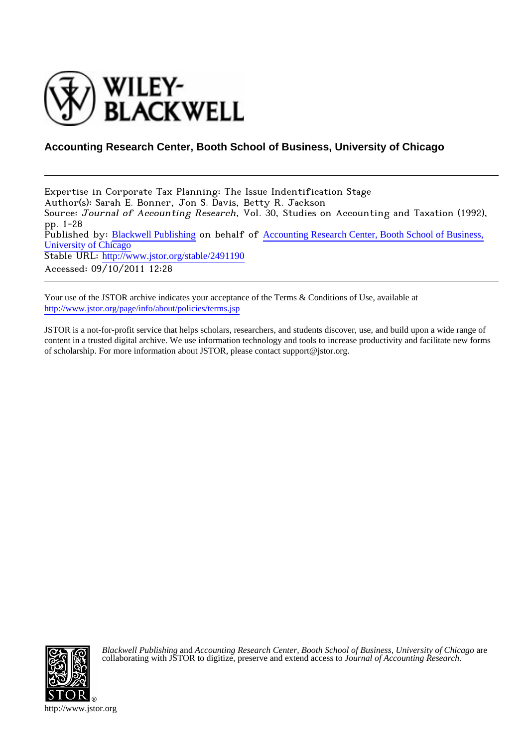

## **Accounting Research Center, Booth School of Business, University of Chicago**

Expertise in Corporate Tax Planning: The Issue Indentification Stage Author(s): Sarah E. Bonner, Jon S. Davis, Betty R. Jackson Source: Journal of Accounting Research, Vol. 30, Studies on Accounting and Taxation (1992), pp. 1-28 Published by: [Blackwell Publishing](http://www.jstor.org/action/showPublisher?publisherCode=black) on behalf of [Accounting Research Center, Booth School of Business,](http://www.jstor.org/action/showPublisher?publisherCode=grad-uchicago) [University of Chicago](http://www.jstor.org/action/showPublisher?publisherCode=grad-uchicago) Stable URL: [http://www.jstor.org/stable/2491190](http://www.jstor.org/stable/2491190?origin=JSTOR-pdf) Accessed: 09/10/2011 12:28

Your use of the JSTOR archive indicates your acceptance of the Terms & Conditions of Use, available at <http://www.jstor.org/page/info/about/policies/terms.jsp>

JSTOR is a not-for-profit service that helps scholars, researchers, and students discover, use, and build upon a wide range of content in a trusted digital archive. We use information technology and tools to increase productivity and facilitate new forms of scholarship. For more information about JSTOR, please contact support@jstor.org.



*Blackwell Publishing* and *Accounting Research Center, Booth School of Business, University of Chicago* are collaborating with JSTOR to digitize, preserve and extend access to *Journal of Accounting Research.*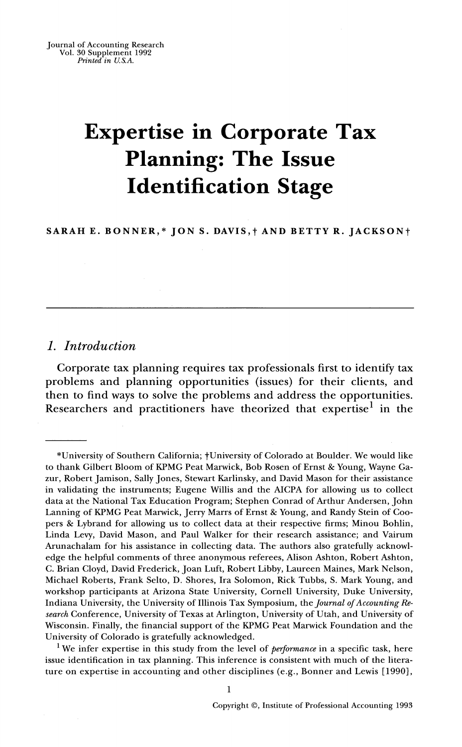# **Expertise in Corporate Tax Planning: The Issue Identification Stage**

SARAH E. BONNER,\* JON S. DAVIS,<sup>†</sup> AND BETTY R. JACKSON<sup>†</sup>

## **1. Introduction**

**Corporate tax planning requires tax professionals first to identify tax problems and planning opportunities (issues) for their clients, and then to find ways to solve the problems and address the opportunities. Researchers and practitioners have theorized that expertise' in the** 

<sup>1</sup> We infer expertise in this study from the level of *performance* in a specific task, here **issue identification in tax planning. This inference is consistent with much of the literature on expertise in accounting and other disciplines (e.g., Bonner and Lewis [1990],** 

**<sup>\*</sup>University of Southern California; tUniversity of Colorado at Boulder. We would like to thank Gilbert Bloom of KPMG Peat Marwick, Bob Rosen of Ernst & Young, Wayne Gazur, Robert Jamison, Sally Jones, Stewart Karlinsky, and David Mason for their assistance in validating the instruments; Eugene Willis and the AICPA for allowing us to collect data at the National Tax Education Program; Stephen Conrad of Arthur Andersen, John Lanning of KPMG Peat Marwick, Jerry Marrs of Ernst & Young, and Randy Stein of Coopers & Lybrand for allowing us to collect data at their respective firms; Minou Bohlin, Linda Levy, David Mason, and Paul Walker for their research assistance; and Vairum Arunachalam for his assistance in collecting data. The authors also gratefully acknowledge the helpful comments of three anonymous referees, Alison Ashton, Robert Ashton, C. Brian Cloyd, David Frederick, Joan Luft, Robert Libby, Laureen Maines, Mark Nelson, Michael Roberts, Frank Selto, D. Shores, Ira Solomon, Rick Tubbs, S. Mark Young, and workshop participants at Arizona State University, Cornell University, Duke University, Indiana University, the University of Illinois Tax Symposium, the Journal of Accounting Research Conference, University of Texas at Arlington, University of Utah, and University of Wisconsin. Finally, the financial support of the KPMG Peat Marwick Foundation and the University of Colorado is gratefully acknowledged.**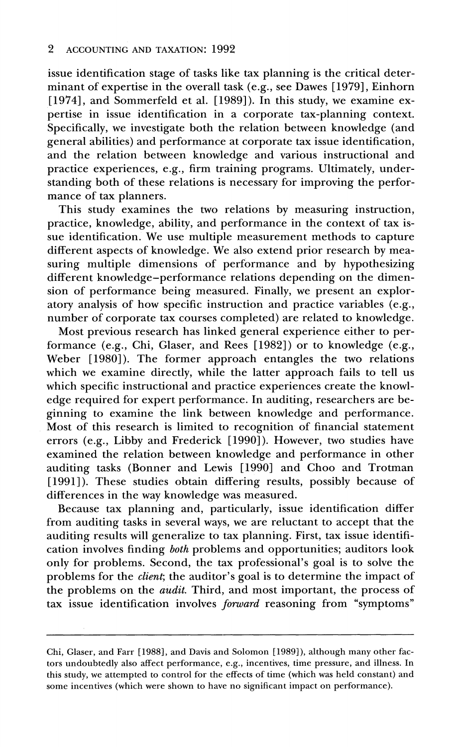**issue identification stage of tasks like tax planning is the critical determinant of expertise in the overall task (e.g., see Dawes [1979], Einhorn [1974], and Sommerfeld et al. [1989]). In this study, we examine expertise in issue identification in a corporate tax-planning context. Specifically, we investigate both the relation between knowledge (and general abilities) and performance at corporate tax issue identification, and the relation between knowledge and various instructional and practice experiences, e.g., firm training programs. Ultimately, under**standing both of these relations is necessary for improving the perfor**mance of tax planners.** 

**This study examines the two relations by measuring instruction, practice, knowledge, ability, and performance in the context of tax issue identification. We use multiple measurement methods to capture different aspects of knowledge. We also extend prior research by measuring multiple dimensions of performance and by hypothesizing different knowledge-performance relations depending on the dimen**sion of performance being measured. Finally, we present an explor**atory analysis of how specific instruction and practice variables (e.g., number of corporate tax courses completed) are related to knowledge.** 

**Most previous research has linked general experience either to performance (e.g., Chi, Glaser, and Rees [1982]) or to knowledge (e.g., Weber [1980]). The former approach entangles the two relations which we examine directly, while the latter approach fails to tell us**  which specific instructional and practice experiences create the knowl**edge required for expert performance. In auditing, researchers are beginning to examine the link between knowledge and performance. Most of this research is limited to recognition of financial statement errors (e.g., Libby and Frederick [1990]). However, two studies have examined the relation between knowledge and performance in other auditing tasks (Bonner and Lewis [1990] and Choo and Trotman [1991]). These studies obtain differing results, possibly because of differences in the way knowledge was measured.** 

**Because tax planning and, particularly, issue identification differ from auditing tasks in several ways, we are reluctant to accept that the auditing results will generalize to tax planning. First, tax issue identification involves finding both problems and opportunities; auditors look only for problems. Second, the tax professional's goal is to solve the problems for the client; the auditor's goal is to determine the impact of the problems on the audit. Third, and most important, the process of tax issue identification involves forward reasoning from "symptoms"** 

**Chi, Glaser, and Farr [1988], and Davis and Solomon [1989]), although many other factors undoubtedly also affect performance, e.g., incentives, time pressure, and illness. In this study, we attempted to control for the effects of time (which was held constant) and some incentives (which were shown to have no significant impact on performance).**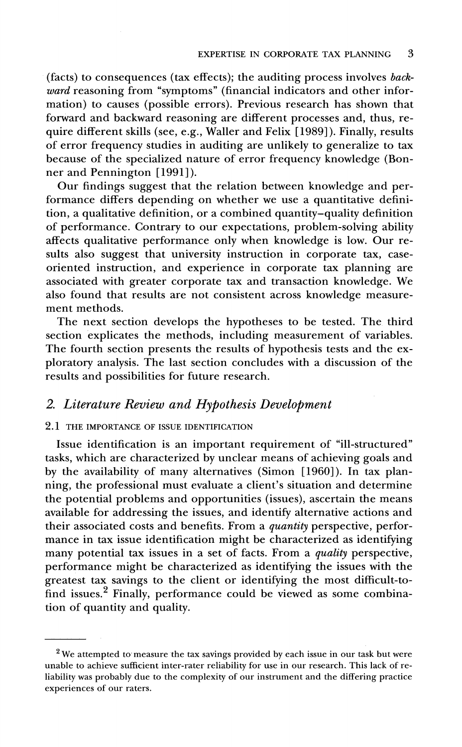**(facts) to consequences (tax effects); the auditing process involves backward reasoning from "symptoms" (financial indicators and other information) to causes (possible errors). Previous research has shown that forward and backward reasoning are different processes and, thus, require different skills (see, e.g., Waller and Felix [1989]). Finally, results of error frequency studies in auditing are unlikely to generalize to tax because of the specialized nature of error frequency knowledge (Bonner and Pennington [1991]).** 

**Our findings suggest that the relation between knowledge and performance differs depending on whether we use a quantitative definition, a qualitative definition, or a combined quantity-quality definition of performance. Contrary to our expectations, problem-solving ability affects qualitative performance only when knowledge is low. Our results also suggest that university instruction in corporate tax, caseoriented instruction, and experience in corporate tax planning are associated with greater corporate tax and transaction knowledge. We also found that results are not consistent across knowledge measurement methods.** 

**The next section develops the hypotheses to be tested. The third section explicates the methods, including measurement of variables. The fourth section presents the results of hypothesis tests and the exploratory analysis. The last section concludes with a discussion of the results and possibilities for future research.** 

## **2. Literature Review and Hypothesis Development**

#### **2.1 THE IMPORTANCE OF ISSUE IDENTIFICATION**

**Issue identification is an important requirement of "ill-structured" tasks, which are characterized by unclear means of achieving goals and by the availability of many alternatives (Simon [1960]). In tax planning, the professional must evaluate a client's situation and determine the potential problems and opportunities (issues), ascertain the means available for addressing the issues, and identify alternative actions and their associated costs and benefits. From a quantity perspective, performance in tax issue identification might be characterized as identifying many potential tax issues in a set of facts. From a quality perspective, performance might be characterized as identifying the issues with the greatest tax savings to the client or identifying the most difficult-tofind issues.2 Finally, performance could be viewed as some combination of quantity and quality.** 

**<sup>2</sup> We attempted to measure the tax savings provided by each issue in our task but were unable to achieve sufficient inter-rater reliability for use in our research. This lack of reliability was probably due to the complexity of our instrument and the differing practice experiences of our raters.**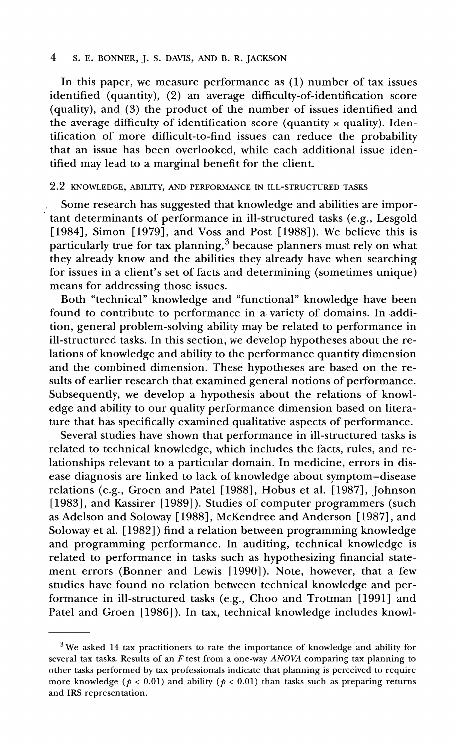#### **4 S. E. BONNER, J. S. DAVIS, AND B. R. JACKSON**

**In this paper, we measure performance as (1) number of tax issues identified (quantity), (2) an average difficulty-of-identification score (quality), and (3) the product of the number of issues identified and the average difficulty of identification score (quantity x quality). Identification of more difficult-to-find issues can reduce the probability that an issue has been overlooked, while each additional issue identified may lead to a marginal benefit for the client.** 

#### **2.2 KNOWLEDGE, ABILITY, AND PERFORMANCE IN ILL-STRUCTURED TASKS**

**Some research has suggested that knowledge and abilities are important determinants of performance in ill-structured tasks (e.g., Lesgold [1984], Simon [1979], and Voss and Post [1988]). We believe this is**  particularly true for tax planning,<sup>3</sup> because planners must rely on what **they already know and the abilities they already have when searching for issues in a client's set of facts and determining (sometimes unique) means for addressing those issues.** 

**Both "technical" knowledge and "functional" knowledge have been found to contribute to performance in a variety of domains. In addition, general problem-solving ability may be related to performance in ill-structured tasks. In this section, we develop hypotheses about the relations of knowledge and ability to the performance quantity dimension and the combined dimension. These hypotheses are based on the results of earlier research that examined general notions of performance. Subsequently, we develop a hypothesis about the relations of knowledge and ability to our quality performance dimension based on literature that has specifically examined qualitative aspects of performance.** 

**Several studies have shown that performance in ill-structured tasks is related to technical knowledge, which includes the facts, rules, and relationships relevant to a particular domain. In medicine, errors in disease diagnosis are linked to lack of knowledge about symptom-disease relations (e.g., Groen and Patel [1988], Hobus et al. [1987], Johnson [1983], and Kassirer [1989]). Studies of computer programmers (such as Adelson and Soloway [1988], McKendree and Anderson [1987], and Soloway et al. [1982]) find a relation between programming knowledge and programming performance. In auditing, technical knowledge is related to performance in tasks such as hypothesizing financial statement errors (Bonner and Lewis [1990]). Note, however, that a few studies have found no relation between technical knowledge and performance in ill-structured tasks (e.g., Choo and Trotman [1991] and Patel and Groen [1986]). In tax, technical knowledge includes knowl-**

**<sup>3</sup>We asked 14 tax practitioners to rate the importance of knowledge and ability for several tax tasks. Results of an F test from a one-way ANOVA comparing tax planning to other tasks performed by tax professionals indicate that planning is perceived to require**  more knowledge ( $p < 0.01$ ) and ability ( $p < 0.01$ ) than tasks such as preparing returns **and IRS representation.**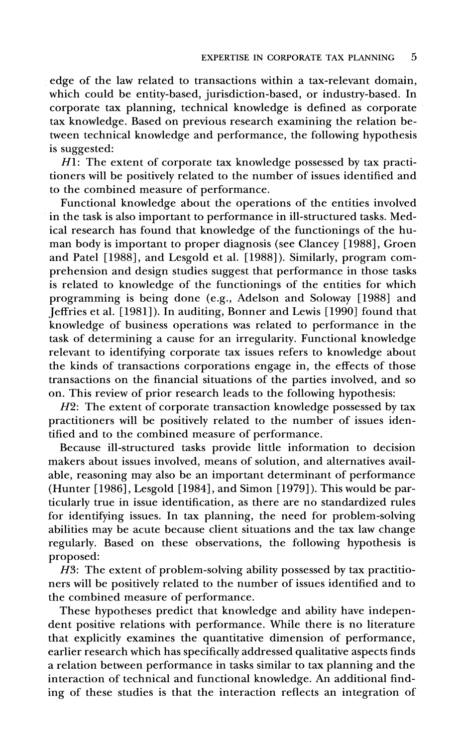**edge of the law related to transactions within a tax-relevant domain, which could be entity-based, jurisdiction-based, or industry-based. In corporate tax planning, technical knowledge is defined as corporate tax knowledge. Based on previous research examining the relation between technical knowledge and performance, the following hypothesis is suggested:** 

**Hi: The extent of corporate tax knowledge possessed by tax practitioners will be positively related to the number of issues identified and to the combined measure of performance.** 

**Functional knowledge about the operations of the entities involved in the task is also important to performance in ill-structured tasks. Medical research has found that knowledge of the functionings of the human body is important to proper diagnosis (see Clancey [1988], Groen and Patel [1988], and Lesgold et al. [1988]). Similarly, program comprehension and design studies suggest that performance in those tasks is related to knowledge of the functionings of the entities for which programming is being done (e.g., Adelson and Soloway [1988] and Jeffries et al. [1981]). In auditing, Bonner and Lewis [1990] found that knowledge of business operations was related to performance in the task of determining a cause for an irregularity. Functional knowledge relevant to identifying corporate tax issues refers to knowledge about the kinds of transactions corporations engage in, the effects of those transactions on the financial situations of the parties involved, and so on. This review of prior research leads to the following hypothesis:** 

**H2: The extent of corporate transaction knowledge possessed by tax practitioners will be positively related to the number of issues identified and to the combined measure of performance.** 

**Because ill-structured tasks provide little information to decision makers about issues involved, means of solution, and alternatives available, reasoning may also be an important determinant of performance (Hunter [1986], Lesgold [1984], and Simon [1979]). This would be particularly true in issue identification, as there are no standardized rules for identifying issues. In tax planning, the need for problem-solving abilities may be acute because client situations and the tax law change regularly. Based on these observations, the following hypothesis is proposed:** 

**H3: The extent of problem-solving ability possessed by tax practitioners will be positively related to the number of issues identified and to the combined measure of performance.** 

**These hypotheses predict that knowledge and ability have independent positive relations with performance. While there is no literature that explicitly examines the quantitative dimension of performance, earlier research which has, specifically addressed qualitative aspects finds a relation between performance in tasks similar to tax planning and the interaction of technical and functional knowledge. An additional finding of these studies is that the interaction reflects an integration of**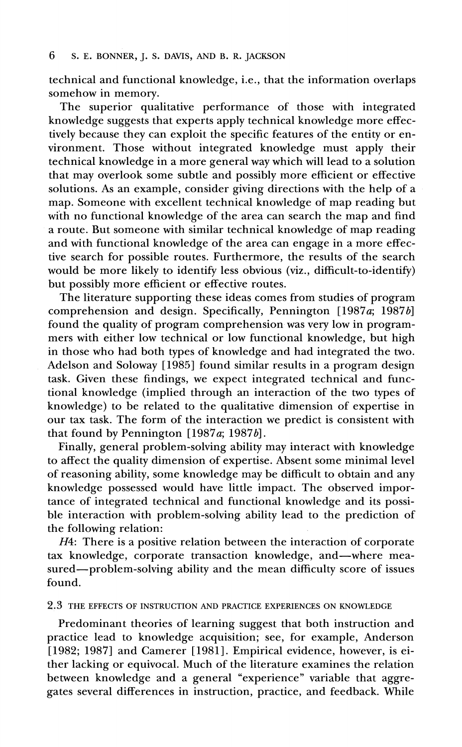**technical and functional knowledge, i.e., that the information overlaps somehow in memory.** 

**The superior qualitative performance of those with integrated knowledge suggests that experts apply technical knowledge more effectively because they can exploit the specific features of the entity or environment. Those without integrated knowledge must apply their technical knowledge in a more general way which will lead to a solution that may overlook some subtle and possibly more efficient or effective solutions. As an example, consider giving directions with the help of a map. Someone with excellent technical knowledge of map reading but with no functional knowledge of the area can search the map and find a route. But someone with similar technical knowledge of map reading and with functional knowledge of the area can engage in a more effective search for possible routes. Furthermore, the results of the search would be more likely to identify less obvious (viz., difficult-to-identify) but possibly more efficient or effective routes.** 

**The literature supporting these ideas comes from studies of program comprehension and design. Specifically, Pennington [1987a; 1987b] found the quality of program comprehension was very low in programmers with either low technical or low functional knowledge, but high in those who had both types of knowledge and had integrated the two. Adelson and Soloway [1985] found similar results in a program design task. Given these findings, we expect integrated technical and functional knowledge (implied through an interaction of the two types of knowledge) to be related to the qualitative dimension of expertise in our tax task. The form of the interaction we predict is consistent with**  that found by Pennington  $[1987a; 1987b]$ .

**Finally, general problem-solving ability may interact with knowledge to affect the quality dimension of expertise. Absent some minimal level of reasoning ability, some knowledge may be difficult to obtain and any knowledge possessed would have little impact. The observed importance of integrated technical and functional knowledge and its possible interaction with problem-solving ability lead to the prediction of the following relation:** 

**H4: There is a positive relation between the interaction of corporate**  tax knowledge, corporate transaction knowledge, and—where mea**sured-problem-solving ability and the mean difficulty score of issues found.** 

#### **2.3 THE EFFECTS OF INSTRUCTION AND PRACTICE EXPERIENCES ON KNOWLEDGE**

**Predominant theories of learning suggest that both instruction and practice lead to knowledge acquisition; see, for example, Anderson [1982; 1987] and Camerer [1981]. Empirical evidence, however, is either lacking or equivocal. Much of the literature examines the relation between knowledge and a general "experience" variable that aggregates several differences in instruction, practice, and feedback. While**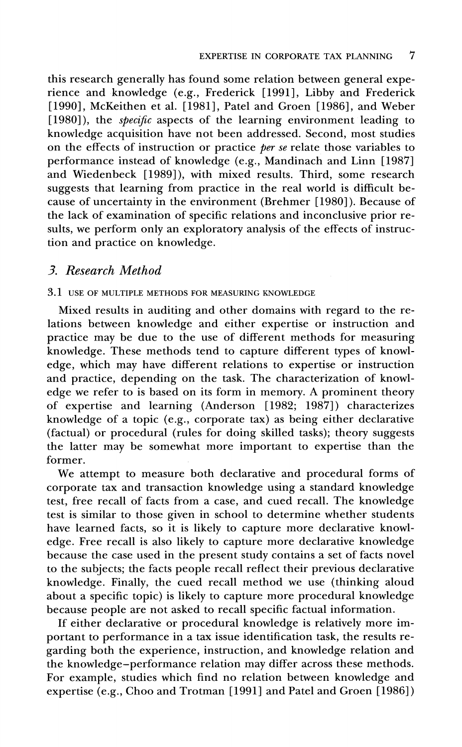**this research generally has found some relation between general experience and knowledge (e.g., Frederick [1991], Libby and Frederick [1990], McKeithen et al. [1981], Patel and Groen [1986], and Weber [1980]), the specific aspects of the learning environment leading to knowledge acquisition have not been addressed. Second, most studies on the effects of instruction or practice per se relate those variables to performance instead of knowledge (e.g., Mandinach and Linn [1987] and Wiedenbeck [1989]), with mixed results. Third, some research suggests that learning from practice in the real world is difficult because of uncertainty in the environment (Brehmer [1980]). Because of the lack of examination of specific relations and inconclusive prior results, we perform only an exploratory analysis of the effects of instruction and practice on knowledge.** 

## **3. Research Method**

## **3.1 USE OF MULTIPLE METHODS FOR MEASURING KNOWLEDGE**

**Mixed results in auditing and other domains with regard to the relations between knowledge and either expertise or instruction and practice may be due to the use of different methods for measuring knowledge. These methods tend to capture different types of knowledge, which may have different relations to expertise or instruction and practice, depending on the task. The characterization of knowledge we refer to is based on its form in memory. A prominent theory of expertise and learning (Anderson [1982; 1987]) characterizes knowledge of a topic (e.g., corporate tax) as being either declarative (factual) or procedural (rules for doing skilled tasks); theory suggests the latter may be somewhat more important to expertise than the former.** 

**We attempt to measure both declarative and procedural forms of corporate tax and transaction knowledge using a standard knowledge test, free recall of facts from a case, and cued recall. The knowledge test is similar to those given in school to determine whether students have learned facts, so it is likely to capture more declarative knowledge. Free recall is also likely to capture more declarative knowledge because the case used in the present study contains a set of facts novel to the subjects; the facts people recall reflect their previous declarative knowledge. Finally, the cued recall method we use (thinking aloud about a specific topic) is likely to capture more procedural knowledge because people are not asked to recall specific factual information.** 

**If either declarative or procedural knowledge is relatively more important to performance in a tax issue identification task, the results regarding both the experience, instruction, and knowledge relation and the knowledge-performance relation may differ across these methods. For example, studies which find no relation between knowledge and expertise (e.g., Choo and Trotman [1991] and Patel and Groen [1986])**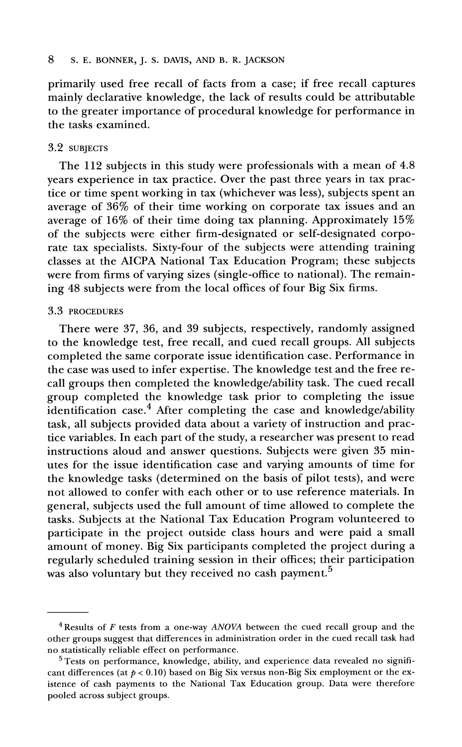#### **8 S. E. BONNER, J. S. DAVIS, AND B. R. JACKSON**

**primarily used free recall of facts from a case; if free recall captures mainly declarative knowledge, the lack of results could be attributable to the greater importance of procedural knowledge for performance in the tasks examined.** 

### **3.2 SUBJECTS**

**The 112 subjects in this study were professionals with a mean of 4.8 years experience in tax practice. Over the past three years in tax practice or time spent working in tax (whichever was less), subjects spent an average of 36% of their time working on corporate tax issues and an average of 16% of their time doing tax planning. Approximately 15% of the subjects were either firm-designated or self-designated corporate tax specialists. Sixty-four of the subjects were attending training classes at the AICPA National Tax Education Program; these subjects were from firms of varying sizes (single-office to national). The remaining 48 subjects were from the local offices of four Big Six firms.** 

#### **3.3 PROCEDURES**

**There were 37, 36, and 39 subjects, respectively, randomly assigned to the knowledge test, free recall, and cued recall groups. All subjects completed the same corporate issue identification case. Performance in the case was used to infer expertise. The knowledge test and the free recall groups then completed the knowledge/ability task. The cued recall group completed the knowledge task prior to completing the issue identification case.4 After completing the case and knowledge/ability task, all subjects provided data about a variety of instruction and practice variables. In each part of the study, a researcher was present to read instructions aloud and answer questions. Subjects were given 35 minutes for the issue identification case and varying amounts of time for the knowledge tasks (determined on the basis of pilot tests), and were not allowed to confer with each other or to use reference materials. In general, subjects used the full amount of time allowed to complete the tasks. Subjects at the National Tax Education Program volunteered to participate in the project outside class hours and were paid a small amount of money. Big Six participants completed the project during a regularly scheduled training session in their offices; their participation was also voluntary but they received no cash payment.5** 

<sup>&</sup>lt;sup>4</sup> Results of F tests from a one-way *ANOVA* between the cued recall group and the **other groups suggest that differences in administration order in the cued recall task had no statistically reliable effect on performance.** 

<sup>&</sup>lt;sup>5</sup> Tests on performance, knowledge, ability, and experience data revealed no significant differences (at  $p < 0.10$ ) based on Big Six versus non-Big Six employment or the ex**istence of cash payments to the National Tax Education group. Data were therefore pooled across subject groups.**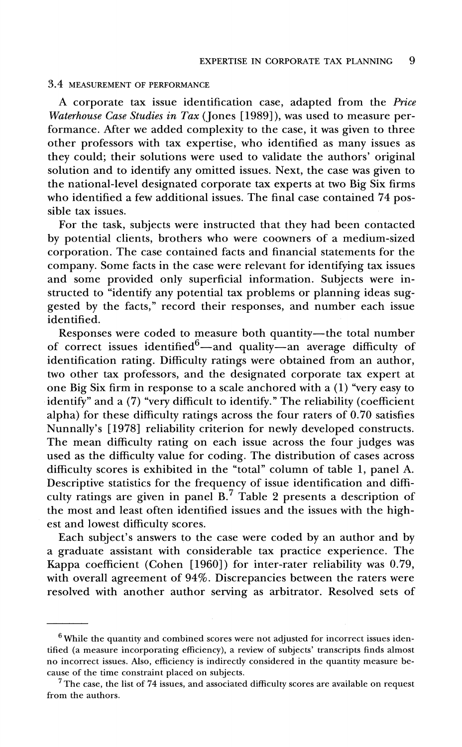#### **3.4 MEASUREMENT OF PERFORMANCE**

**A corporate tax issue identification case, adapted from the Price Waterhouse Case Studies in Tax (Jones [1989]), was used to measure performance. After we added complexity to the case, it was given to three other professors with tax expertise, who identified as many issues as they could; their solutions were used to validate the authors' original solution and to identify any omitted issues. Next, the case was given to the national-level designated corporate tax experts at two Big Six firms who identified a few additional issues. The final case contained 74 possible tax issues.** 

**For the task, subjects were instructed that they had been contacted by potential clients, brothers who were coowners of a medium-sized corporation. The case contained facts and financial statements for the company. Some facts in the case were relevant for identifying tax issues and some provided only superficial information. Subjects were instructed to "identify any potential tax problems or planning ideas suggested by the facts," record their responses, and number each issue identified.** 

**Responses were coded to measure both quantity-the total number**  of correct issues identified<sup>6</sup>—and quality—an average difficulty of **identification rating. Difficulty ratings were obtained from an author, two other tax professors, and the designated corporate tax expert at one Big Six firm in response to a scale anchored with a (1) "very easy to .identify" and a (7) "very difficult to identify." The reliability (coefficient alpha) for these difficulty ratings across the four raters of 0.70 satisfies Nunnally's [1978] reliability criterion for newly developed constructs. The mean difficulty rating on each issue across the four judges was used as the difficulty value for coding. The distribution of cases across difficulty scores is exhibited in the "total" column of table 1, panel A. Descriptive statistics for the frequency of issue identification and difficulty ratings are given in panel B.7 Table 2 presents a description of the most and least often identified issues and the issues with the highest and lowest difficulty scores.** 

**Each subject's answers to the case were coded by an author and by a graduate assistant with considerable tax practice experience. The Kappa coefficient (Cohen [1960]) for inter-rater reliability was 0.79, with overall agreement of 94%. Discrepancies between the raters were resolved with another author serving as arbitrator. Resolved sets of** 

**<sup>6</sup> While the quantity and combined scores were not adjusted for incorrect issues identified (a measure incorporating efficiency), a review of subjects' transcripts finds almost no incorrect issues. Also, efficiency is indirectly considered in the quantity measure because of the time constraint placed on subjects.** 

**The case, the list of 74 issues, and associated difficulty scores are available on request from the authors.**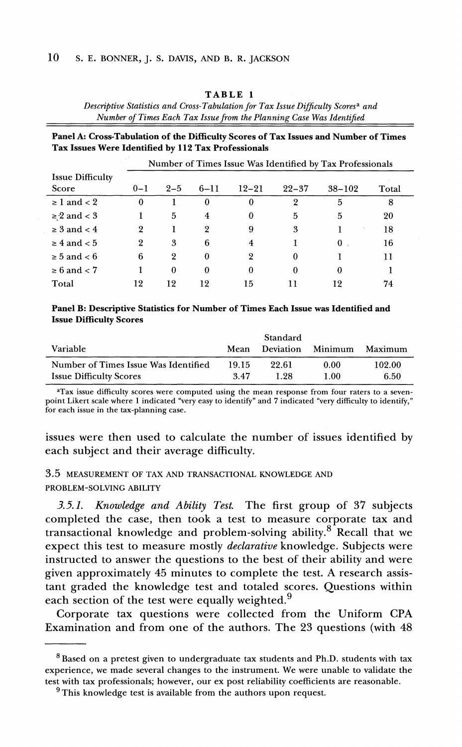|  |  | г<br>۰. |  |  |  |
|--|--|---------|--|--|--|
|--|--|---------|--|--|--|

Descriptive Statistics and Cross-Tabulation for Tax Issue Difficulty Scores<sup>a</sup> and **Number of Times Each Tax Issue from the Planning Case Was Identified** 

| Panel A: Cross-Tabulation of the Difficulty Scores of Tax Issues and Number of Times |
|--------------------------------------------------------------------------------------|
| Tax Issues Were Identified by 112 Tax Professionals                                  |

|                                  |                |              |                |           |           | Number of Times Issue Was Identified by Tax Professionals |       |
|----------------------------------|----------------|--------------|----------------|-----------|-----------|-----------------------------------------------------------|-------|
| <b>Issue Difficulty</b><br>Score | $0 - 1$        | $2 - 5$      | $6 - 11$       | $12 - 21$ | $22 - 37$ | $38 - 102$                                                | Total |
| $\geq 1$ and $\lt 2$             | 0              |              | 0              | 0         | 2         | 5                                                         | 8     |
| $\geq 2$ and $<$ 3               |                | 5            | $\overline{4}$ | 0         | 5         | 5                                                         | 20    |
| $\geq 3$ and $\lt 4$             | $\overline{2}$ |              | 2              | 9         | 3         |                                                           | 18    |
| $\geq 4$ and $\lt 5$             | 2              | 3            | 6              | 4         |           | $\bf{0}$                                                  | 16    |
| $\geq 5$ and $\lt 6$             | 6              | $\mathbf{2}$ | $\theta$       | 2         | 0         |                                                           | 11    |
| $\geq 6$ and $\lt 7$             |                | $\Omega$     | $\theta$       | 0         | $\Omega$  | 0                                                         |       |
| Total                            | 12             | 12           | 12             | 15        |           | 19                                                        | 74    |

#### **Panel B: Descriptive Statistics for Number of Times Each Issue was Identified and Issue Difficulty Scores**

|                                      |       | Standard |                   |         |
|--------------------------------------|-------|----------|-------------------|---------|
| Variable                             | Mean  |          | Deviation Minimum | Maximum |
| Number of Times Issue Was Identified | 19.15 | 22.61    | 0.00              | 102.00  |
| <b>Issue Difficulty Scores</b>       | 3.47  | 198      | 1.00              | 6.50    |

**aTax issue difficulty scores were computed using the mean response from four raters to a sevenpoint Likert scale where 1 indicated "very easy to identify" and 7 indicated "very difficulty to identify," for each issue in the tax-planning case.** 

**issues were then used to calculate the number of issues identified by each subject and their average difficulty.** 

**3.5 MEASUREMENT OF TAX AND TRANSACTIONAL KNOWLEDGE AND PROBLEM-SOLVING ABILITY** 

**3.5.1. Knowledge and Ability Test. The first group of 37 subjects completed the case, then took a test to measure corporate tax and transactional knowledge and problem-solving ability.8 Recall that we expect this test to measure mostly declarative knowledge. Subjects were instructed to answer the questions to the best of their ability and were given approximately 45 minutes to complete the test. A research assistant graded the knowledge test and totaled scores. Questions within each section of the test were equally weighted.9** 

**Corporate tax questions were collected from the Uniform CPA Examination and from one of the authors. The 23 questions (with 48** 

**<sup>8</sup> Based on a pretest given to undergraduate tax students and Ph.D. students with tax experience, we made several changes to the instrument. We were unable to validate the test with tax professionals; however, our ex post reliability coefficients are reasonable.** 

**<sup>9</sup> This knowledge test is available from the authors upon request.**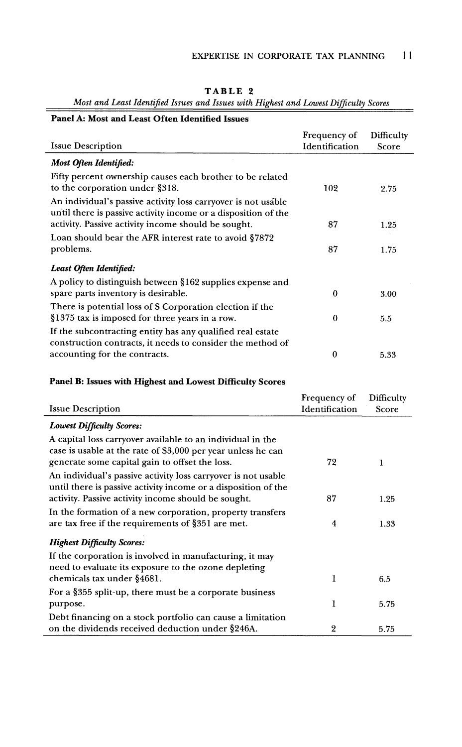$=$ 

| Panel A: Most and Least Often Identified Issues                                                                                 |                                |                     |
|---------------------------------------------------------------------------------------------------------------------------------|--------------------------------|---------------------|
| <b>Issue Description</b>                                                                                                        | Frequency of<br>Identification | Difficulty<br>Score |
| Most Often Identified:                                                                                                          |                                |                     |
| Fifty percent ownership causes each brother to be related<br>to the corporation under $§318$ .                                  | 102                            | 2.75                |
| An individual's passive activity loss carryover is not usable<br>until there is passive activity income or a disposition of the |                                |                     |
| activity. Passive activity income should be sought.                                                                             | 87                             | 1.25                |
| Loan should bear the AFR interest rate to avoid §7872<br>problems.                                                              | 87                             | 1.75                |
| Least Often Identified:                                                                                                         |                                |                     |
| A policy to distinguish between §162 supplies expense and<br>spare parts inventory is desirable.                                | $\Omega$                       | 3.00                |
| There is potential loss of S Corporation election if the<br>§1375 tax is imposed for three years in a row.                      | 0                              | 5.5                 |
| If the subcontracting entity has any qualified real estate<br>construction contracts, it needs to consider the method of        |                                |                     |
| accounting for the contracts.                                                                                                   | $\theta$                       | 5.33                |

**TABLE 2** 

**Panel B: Issues with Highest and Lowest Difficulty Scores** 

| <b>Issue Description</b>                                                                                                                                                               | Frequency of<br>Identification | Difficulty<br>Score |
|----------------------------------------------------------------------------------------------------------------------------------------------------------------------------------------|--------------------------------|---------------------|
| <b>Lowest Difficulty Scores:</b>                                                                                                                                                       |                                |                     |
| A capital loss carryover available to an individual in the<br>case is usable at the rate of \$3,000 per year unless he can<br>generate some capital gain to offset the loss.           | 72                             | 1                   |
| An individual's passive activity loss carryover is not usable<br>until there is passive activity income or a disposition of the<br>activity. Passive activity income should be sought. | 87                             | 1.25                |
| In the formation of a new corporation, property transfers<br>are tax free if the requirements of §351 are met.                                                                         | 4                              | 1.33                |
| <b>Highest Difficulty Scores:</b>                                                                                                                                                      |                                |                     |
| If the corporation is involved in manufacturing, it may<br>need to evaluate its exposure to the ozone depleting                                                                        |                                |                     |
| chemicals tax under §4681.                                                                                                                                                             | 1                              | 6.5                 |
| For a §355 split-up, there must be a corporate business                                                                                                                                |                                |                     |
| purpose.                                                                                                                                                                               | 1                              | 5.75                |
| Debt financing on a stock portfolio can cause a limitation                                                                                                                             |                                |                     |
| on the dividends received deduction under §246A.                                                                                                                                       | $\overline{2}$                 | 5.75                |

**Most and Least Identified Issues and Issues with Highest and Lowest Difficulty Scores**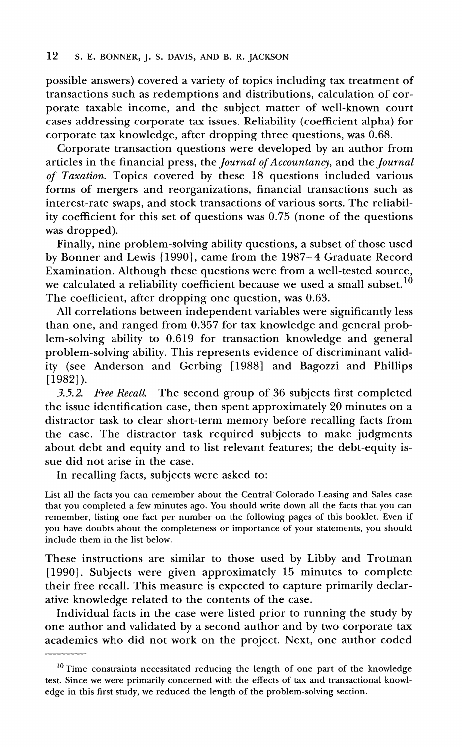**possible answers) covered a variety of topics including tax treatment of transactions such as redemptions and distributions, calculation of corporate taxable income, and the subject matter of well-known court cases addressing corporate tax issues. Reliability (coefficient alpha) for corporate tax knowledge, after dropping three questions, was 0.68.** 

**Corporate transaction questions were developed by an author from articles in the financial press, the Journal of Accountancy, and the Journal of Taxation. Topics covered by these 18 questions included various forms of mergers and reorganizations, financial transactions such as interest-rate swaps, and stock transactions of various sorts. The reliability coefficient for this set of questions was 0.75 (none of the questions was dropped).** 

**Finally, nine problem-solving ability questions, a subset of those used by Bonner and Lewis [1990], came from the 1987-4 Graduate Record Examination. Although these questions were from a well-tested source, we calculated a reliability coefficient because we used a small subset.10 The coefficient, after dropping one question, was 0.63.** 

**All correlations between independent variables were significantly less than one, and ranged from 0.357 for tax knowledge and general problem-solving ability to 0.619 for transaction knowledge and general problem-solving ability. This represents evidence of discriminant validity (see Anderson and Gerbing [1988] and Bagozzi and Phillips [1982]).** 

**3.5.2. Free Recall. The second group of 36 subjects first completed the issue identification case, then spent approximately 20 minutes on a distractor task to clear short-term memory before recalling facts from the case. The distractor task required subjects to make judgments about debt and equity and to list relevant features; the debt-equity issue did not arise in the case.** 

**In recalling facts, subjects were asked to:** 

**List all the facts you can remember about the Central Colorado Leasing and Sales case that you completed a few minutes ago. You should write down all the facts that you can remember, listing one fact per number on the following pages of this booklet. Even if you have doubts about the completeness or importance of your statements, you should include them in the list below.** 

**These instructions are similar to those used by Libby and Trotman [1990]. Subjects were given approximately 15 minutes to complete their free recall. This measure is expected to capture primarily declarative knowledge related to the contents of the case.** 

**Individual facts in the case were listed prior to running the study by one author and validated by a second author and by two corporate tax academics who did not work on the project. Next, one author coded** 

**<sup>10</sup>Time constraints necessitated reducing the length of one part of the knowledge test. Since we were primarily concerned with the effects of tax and transactional knowledge in this first study, we reduced the length of the problem-solving section.**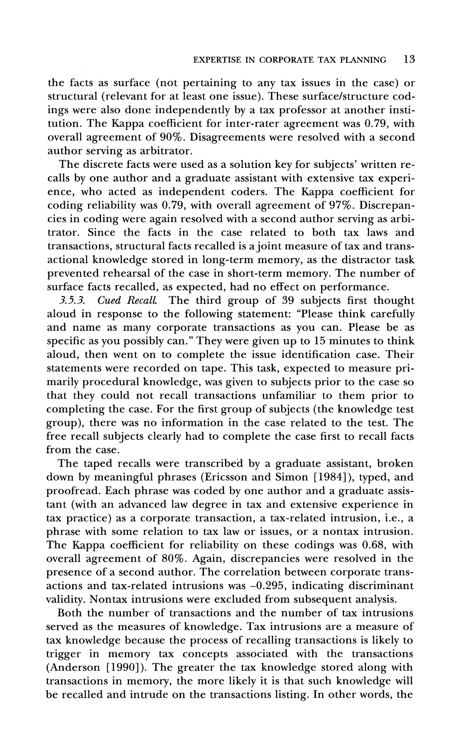**the facts as surface (not pertaining to any tax issues in the case) or structural (relevant for at least one issue). These surface/structure codings were also done independently by a tax professor at another institution. The Kappa coefficient for inter-rater agreement was 0.79, with overall agreement of 90%. Disagreements were resolved with a second author serving as arbitrator.** 

**The discrete facts were used as a solution key for subjects' written recalls by one author and a graduate assistant with extensive tax experience, who acted as independent coders. The Kappa coefficient for coding reliability was 0.79, with overall agreement of 97%. Discrepancies in coding were again resolved with a second author serving as arbitrator. Since the facts in the case related to both tax laws and transactions, structural facts recalled is a joint measure of tax and transactional knowledge stored in long-term memory, as the distractor task prevented rehearsal of the case in short-term memory. The number of surface facts recalled, as expected, had no effect on performance.** 

**3.5.3. Cued Recall. The third group of 39 subjects first thought aloud in response to the following statement: "Please think carefully and name as many corporate transactions as you can. Please be as specific as you possibly can." They were given up to 15 minutes to think aloud, then went on to complete the issue identification case. Their statements were recorded on tape. This task, expected to measure primarily procedural knowledge, was given to subjects prior to the case so that they could not recall transactions unfamiliar to them prior to completing the case. For the first group of subjects (the knowledge test group), there was no information in the case related to the test. The free recall subjects clearly had to complete the case first to recall facts from the case.** 

**The taped recalls were transcribed by a graduate assistant, broken down by meaningful phrases (Ericsson and Simon [1984]), typed, and proofread. Each phrase was coded by one author and a graduate assistant (with an advanced law degree in tax and extensive experience in tax practice) as a corporate transaction, a tax-related intrusion, i.e., a phrase with some relation to tax law or issues, or a nontax intrusion. The Kappa coefficient for reliability on these codings was 0.68, with overall agreement of 80%. Again, discrepancies were resolved in the presence of a second author. The correlation between corporate transactions and tax-related intrusions was -0.295, indicating discriminant validity. Nontax intrusions were excluded from subsequent analysis.** 

**Both the number of transactions and the number of tax intrusions served as the measures of knowledge. Tax intrusions are a measure of tax knowledge because the process of recalling transactions is likely to trigger in memory tax concepts associated with the transactions (Anderson [1990]). The greater the tax knowledge stored along with transactions in memory, the more likely it is that such knowledge will be recalled and intrude on the transactions listing. In other words, the**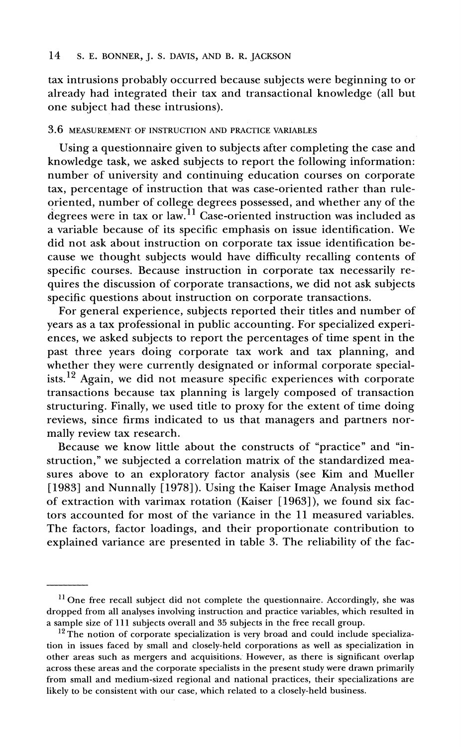**tax intrusions probably occurred because subjects were beginning to or already had integrated their tax and transactional knowledge (all but one subject had these intrusions).** 

#### **3.6 MEASUREMENT OF INSTRUCTION AND PRACTICE VARIABLES**

**Using a questionnaire given to subjects after completing the case and knowledge task, we asked subjects to report the following information: number of university and continuing education courses on corporate tax, percentage of instruction that was case-oriented rather than ruleoriented, number of college degrees possessed, and whether any of the degrees were in tax or law.11 Case-oriented instruction was included as a variable because of its specific emphasis on issue identification. We did not ask about instruction on corporate tax issue identification because we thought subjects would have difficulty recalling contents of specific courses. Because instruction in corporate tax necessarily requires the discussion of corporate transactions, we did not ask subjects specific questions about instruction on corporate transactions.** 

**For general experience, subjects reported their titles and number of years as a tax professional in public accounting. For specialized experiences, we asked subjects to report the percentages of time spent in the past three years doing corporate tax work and tax planning, and**  whether they were currently designated or informal corporate special**ists.2 Again, we did not measure specific experiences with corporate transactions because tax planning is largely composed of transaction structuring. Finally, we used title to proxy for the extent of time doing reviews, since firms indicated to us that managers and partners normally review tax research.** 

**Because we know little about the constructs of "practice" and "instruction," we subjected a correlation matrix of the standardized measures above to an exploratory factor analysis (see Kim and Mueller [1983] and Nunnally [1978]). Using the Kaiser Image Analysis method of extraction with varimax rotation (Kaiser [1963]), we found six factors accounted for most of the variance in the 11 measured variables. The factors, factor loadings, and their proportionate contribution to explained variance are presented in table 3. The reliability of the fac-**

<sup>&</sup>lt;sup>11</sup> One free recall subject did not complete the questionnaire. Accordingly, she was **dropped from all analyses involving instruction and practice variables, which resulted in a sample size of 111 subjects overall and 35 subjects in the free recall group.** 

<sup>&</sup>lt;sup>12</sup> The notion of corporate specialization is very broad and could include specializa**tion in issues faced by small and closely-held corporations as well as specialization in other areas such as mergers and acquisitions.- However, as there is significant overlap across these areas and the corporate specialists in the present study were drawn primarily from small and medium-sized regional and national practices, their specializations are likely to be consistent with our case, which related to a closely-held business.**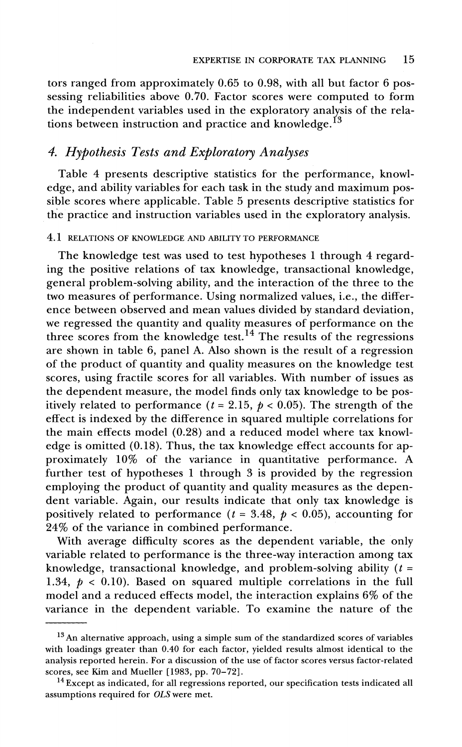**tors ranged from approximately 0.65 to 0.98, with all but factor 6 possessing reliabilities above 0.70. Factor scores were computed to form the independent variables used in the exploratory analysis of the relations between instruction and practice and knowledge.13** 

## **4. Hypothesis Tests and Exploratory Analyses**

**Table 4 presents descriptive statistics for the performance, knowledge, and ability variables for each task in the study and maximum possible scores where applicable. Table 5 presents descriptive statistics for the practice and instruction variables used in the exploratory analysis.** 

#### **4.1 RELATIONS OF KNOWLEDGE AND ABILITY TO PERFORMANCE**

**The knowledge test was used to test hypotheses 1 through 4 regarding the positive relations of tax knowledge, transactional knowledge, general problem-solving ability, and the interaction of the three to the two measures of performance. Using normalized values, i.e., the difference between observed and mean values divided by standard deviation, we regressed the quantity and quality measures of performance on the three scores from the knowledge test.14 The results of the regressions are shown in table 6, panel A. Also shown is the result of a regression of the product of quantity and quality measures on the knowledge test scores, using fractile scores for all variables. With number of issues as the dependent measure, the model finds only tax knowledge to be pos**itively related to performance  $(t = 2.15, p < 0.05)$ . The strength of the **effect is indexed by the difference in squared multiple correlations for the main effects model (0.28) and a reduced model where tax knowledge is omitted (0.18). Thus, the tax knowledge effect accounts for approximately 10% of the variance in quantitative performance. A further test of hypotheses 1 through 3 is provided by the regression employing the product of quantity and quality measures as the dependent variable. Again, our results indicate that only tax knowledge is**  positively related to performance  $(t = 3.48, p < 0.05)$ , accounting for **24% of the variance in combined performance.** 

**With average difficulty scores as the dependent variable, the only variable related to performance is the three-way interaction among tax**  knowledge, transactional knowledge, and problem-solving ability  $(t=$ 1.34,  $p < 0.10$ ). Based on squared multiple correlations in the full **model and a reduced effects model, the interaction explains 6% of the variance in the dependent variable. To examine the nature of the** 

**<sup>13</sup>An alternative approach, using a simple sum of the standardized scores of variables with loadings greater than 0.40 for each factor, yielded results almost identical to the analysis reported herein. For a discussion of the use of factor scores versus factor-related scores, see Kim and Mueller [1983, pp. 70-72].** 

**<sup>14</sup> Except as indicated, for all regressions reported, our specification tests indicated all assumptions required for OLS were met.**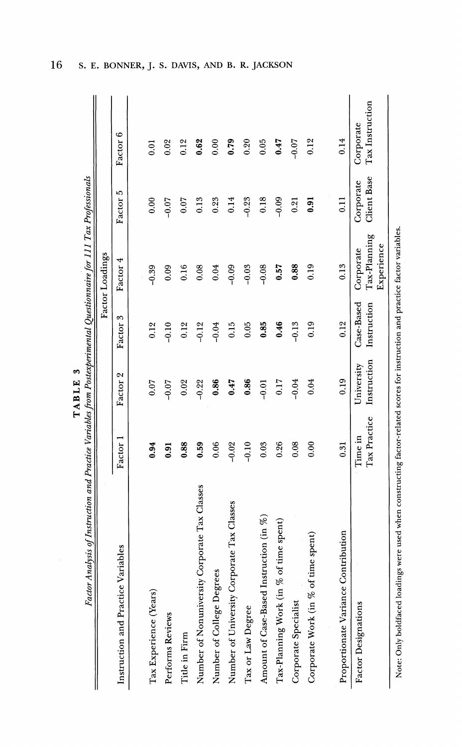| The main successful coclaming to the company of                                                                               |                         |                           | ∑<br>∨                    | Factor Loadings                         |                          |                              |
|-------------------------------------------------------------------------------------------------------------------------------|-------------------------|---------------------------|---------------------------|-----------------------------------------|--------------------------|------------------------------|
| Instruction and Practice Variables                                                                                            | Factor                  | Factor 2                  | Factor 3                  | Factor 4                                | Factor 5                 | G<br>Factor                  |
|                                                                                                                               |                         |                           |                           |                                         |                          |                              |
| Tax Experience (Years)                                                                                                        | 0.94                    | 0.07                      | 0.12                      | $-0.39$                                 | 0.00                     | 0.01                         |
| Performs Reviews                                                                                                              | 0.91                    | $-0.07$                   | $-0.10$                   | 0.09                                    | $-0.07$                  | 0.02                         |
| Title in Firm                                                                                                                 | 0.88                    | 0.02                      | 0.12                      | 0.16                                    | 0.07                     | 0.12                         |
| Number of Nonuniversity Corporate Tax Classes                                                                                 | 0.59                    | $-0.22$                   | $-0.12$                   | 0.08                                    | 0.13                     | 0.62                         |
| Number of College Degrees                                                                                                     | 0.06                    | 0.86                      | $-0.04$                   | 0.04                                    | 0.23                     | 0.00                         |
| Number of University Corporate Tax Classes                                                                                    | $-0.02$                 | 0.47                      | 0.15                      | $-0.09$                                 | 0.14                     | 0.79                         |
| Tax or Law Degree                                                                                                             | $-0.10$                 | 0.86                      | 0.05                      | $-0.03$                                 | $-0.23$                  | 0.20                         |
| Amount of Case-Based Instruction (in %)                                                                                       | 0.03                    | $-0.01$                   | 0.85                      | $-0.08$                                 | 0.18                     | 0.05                         |
| (in % of time spent)<br>Tax-Planning Work (                                                                                   | 0.26                    | 0.17                      | 0.46                      | 0.57                                    | $-0.09$                  | 0.47                         |
| Corporate Specialist                                                                                                          | 0.08                    | $-0.04$                   | $-0.13$                   | 0.88                                    | 0.21                     | $-0.07$                      |
| Corporate Work (in % of time spent)                                                                                           | 0.00                    | 0.04                      | 0.19                      | 0.19                                    | 0.91                     | 0.12                         |
|                                                                                                                               |                         |                           |                           |                                         |                          |                              |
| Proportionate Variance Contribution                                                                                           | 0.31                    | 0.19                      | 0.12                      | 0.13                                    | 0.11                     | 0.14                         |
| Factor Designations                                                                                                           | Tax Practice<br>Time in | Instruction<br>University | Case-Based<br>Instruction | Tax-Planning<br>Experience<br>Corporate | Client Base<br>Corporate | Tax Instruction<br>Corporate |
| Note: Only boldfaced loadings were used when constructing factor-related scores for instruction and practice factor variables |                         |                           |                           |                                         |                          |                              |

**te** 

**16 S. E. BONNER, J. S. DAVIS, AND B. R. JACKSON**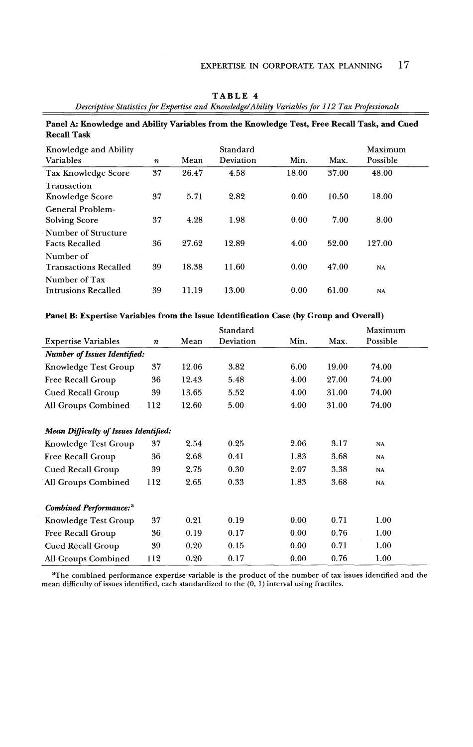| Recall Task                  |                  |       |           |       |       |          |  |
|------------------------------|------------------|-------|-----------|-------|-------|----------|--|
| Knowledge and Ability        |                  |       | Standard  |       |       | Maximum  |  |
| Variables                    | $\boldsymbol{n}$ | Mean  | Deviation | Min.  | Max.  | Possible |  |
| Tax Knowledge Score          | 37               | 26.47 | 4.58      | 18.00 | 37.00 | 48.00    |  |
| Transaction                  |                  |       |           |       |       |          |  |
| <b>Knowledge Score</b>       | 37               | 5.71  | 2.82      | 0.00  | 10.50 | 18.00    |  |
| General Problem-             |                  |       |           |       |       |          |  |
| <b>Solving Score</b>         | 37               | 4.28  | 1.98      | 0.00  | 7.00  | 8.00     |  |
| Number of Structure          |                  |       |           |       |       |          |  |
| <b>Facts Recalled</b>        | 36               | 27.62 | 12.89     | 4.00  | 52.00 | 127.00   |  |
| Number of                    |                  |       |           |       |       |          |  |
| <b>Transactions Recalled</b> | 39               | 18.38 | 11.60     | 0.00  | 47.00 | NA       |  |
| Number of Tax                |                  |       |           |       |       |          |  |
| Intrusions Recalled          | 39               | 11.19 | 13.00     | 0.00  | 61.00 | NA       |  |
|                              |                  |       |           |       |       |          |  |

TABLE 4

**Descriptive Statistics for Expertise and Knowledge/Ability Variables for 112 Tax Professionals** Panel A: Knowledge and Ability Variables from the Knowledge Test, Free Recall Task, and Cued

#### Panel B: Expertise Variables from the Issue Identification Case (by Group and Overall)

l,

|                                       |                  |       | Standard  |      |       | Maximum   |
|---------------------------------------|------------------|-------|-----------|------|-------|-----------|
| <b>Expertise Variables</b>            | $\boldsymbol{n}$ | Mean  | Deviation | Min. | Max.  | Possible  |
| Number of Issues Identified:          |                  |       |           |      |       |           |
| <b>Knowledge Test Group</b>           | 37               | 12.06 | 3.82      | 6.00 | 19.00 | 74.00     |
| Free Recall Group                     | 36               | 12.43 | 5.48      | 4.00 | 27.00 | 74.00     |
| Cued Recall Group                     | 39               | 13.65 | 5.52      | 4.00 | 31.00 | 74.00     |
| All Groups Combined                   | 112              | 12.60 | 5.00      | 4.00 | 31.00 | 74.00     |
| Mean Difficulty of Issues Identified: |                  |       |           |      |       |           |
| Knowledge Test Group                  | 37               | 2.54  | 0.25      | 2.06 | 3.17  | <b>NA</b> |
| Free Recall Group                     | 36               | 2.68  | 0.41      | 1.83 | 3.68  | <b>NA</b> |
| <b>Cued Recall Group</b>              | 39               | 2.75  | 0.30      | 2.07 | 3.38  | <b>NA</b> |
| All Groups Combined                   | 112              | 2.65  | 0.33      | 1.83 | 3.68  | <b>NA</b> |
| Combined Performance: <sup>a</sup>    |                  |       |           |      |       |           |
| Knowledge Test Group                  | 37               | 0.21  | 0.19      | 0.00 | 0.71  | 1.00      |
| Free Recall Group                     | 36               | 0.19  | 0.17      | 0.00 | 0.76  | 1.00      |
| <b>Cued Recall Group</b>              | 39               | 0.20  | 0.15      | 0.00 | 0.71  | 1.00      |
| All Groups Combined                   | 112              | 0.20  | 0.17      | 0.00 | 0.76  | 1.00      |

<sup>a</sup>The combined performance expertise variable is the product of the number of tax issues identified and the mean difficulty of issues identified, each standardized to the (0, 1) interval using fractiles.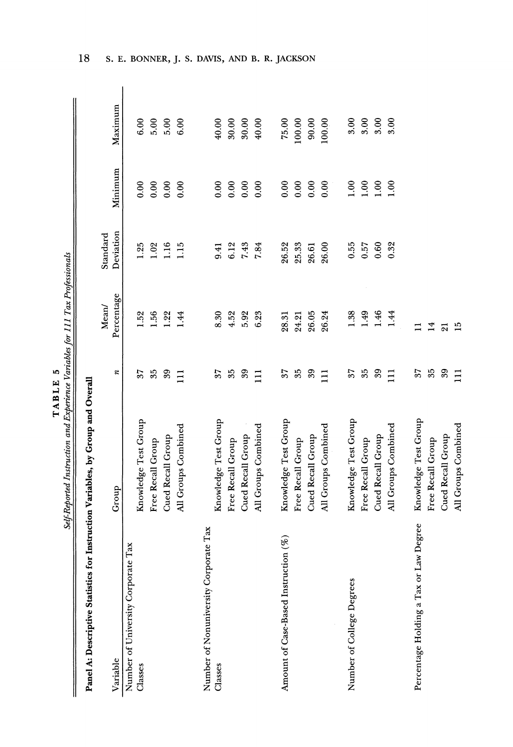| <br>TABLE 5 |
|-------------|
|-------------|

| Panel A: Descriptive Statistics for Instruction Variables, by Group and Overall |                      |                 |                 |           |               |         |
|---------------------------------------------------------------------------------|----------------------|-----------------|-----------------|-----------|---------------|---------|
|                                                                                 |                      |                 | Mean            | Standard  |               |         |
| Variable                                                                        | Group                | u               | Percentage      | Deviation | Minimum       | Maximum |
| Number of University Corporate Tax                                              |                      |                 |                 |           |               |         |
| Classes                                                                         | Knowledge Test Group | 37              | 1.52            | 1.25      | 0.00          | 6.00    |
|                                                                                 | Free Recall Group    | 35              | 1.56            | 1.02      | 0.00          | 5.00    |
|                                                                                 | Cued Recall Group    | 39              | 1.22            | 1.16      | 0.00          | 5.00    |
|                                                                                 | All Groups Combined  | $\Xi$           | 1.44            | 1.15      | 0.00          | 6.00    |
| Number of Nonuniversity Corporate Tax                                           |                      |                 |                 |           |               |         |
| Classes                                                                         | Knowledge Test Group | 57              | 8.30            | 9.41      | 0.00          | 40.00   |
|                                                                                 | Free Recall Group    | 35              | 4.52            | 6.12      | 0.00          | 30.00   |
|                                                                                 | Cued Recall Group    | 39              | 5.92            | 7.43      | 0.00          | 30.00   |
|                                                                                 | All Groups Combined  | $\Xi$           | 6.23            | 7.84      | 0.00          | 40.00   |
|                                                                                 |                      |                 |                 |           |               |         |
| Amount of Case-Based Instruction (%)                                            | Knowledge Test Group | 57              | 28.31           | 26.52     | 0.00          | 75.00   |
|                                                                                 | Free Recall Group    | 35              | 24.21           | 25.33     | 0.00          | 100.00  |
|                                                                                 | Cued Recall Group    | 39              | 26.05           | 26.61     | 0.00          | 90.00   |
|                                                                                 | All Groups Combined  | $\overline{11}$ | 26.24           | 26.00     | 0.00          | 100.00  |
| Number of College Degrees                                                       | Knowledge Test Group | 37              | 1.38            | 0.55      | 00.1          | 3.00    |
|                                                                                 | Free Recall Group    | 35              | 1.49            | 0.57      | 0.001         | 3.00    |
|                                                                                 | Cued Recall Group    | 39              | 1.46            | 0.60      | 1.00          | 3.00    |
|                                                                                 | All Groups Combined  | $\Xi$           | 1.44            | 0.32      | $\frac{8}{1}$ | 3.00    |
| Percentage Holding a Tax or Law Degree                                          | Knowledge Test Group | 37              |                 |           |               |         |
|                                                                                 | Free Recall Group    | 35              | 14              |           |               |         |
|                                                                                 | Cued Recall Group    | 39              | $\overline{21}$ |           |               |         |
|                                                                                 | All Groups Combined  | $\overline{11}$ | $\overline{15}$ |           |               |         |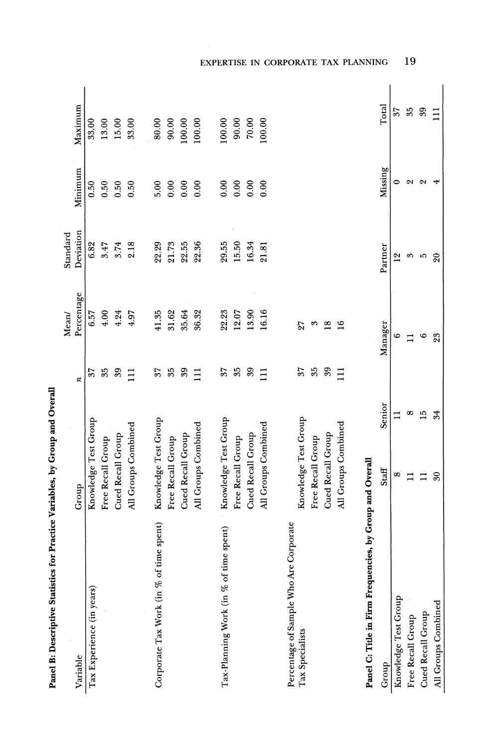| Panel B: Descriptive Statistics for Practice Variables, by Group and Overall |                            |               |       |                 |                            |         |         |
|------------------------------------------------------------------------------|----------------------------|---------------|-------|-----------------|----------------------------|---------|---------|
|                                                                              |                            |               |       | Mean            | Standard                   |         |         |
| Variable                                                                     | Group                      |               | z     | Percentage      | Deviation                  | Minimum | Maximum |
| Tax Experience (in years)                                                    | Knowledge Test Group       |               | 57    | 6.57            | 6.82                       | 0.50    | 33.00   |
|                                                                              | Free Recall Group          |               | 35    | 4.00            | 3.47                       | 0.50    | 13.00   |
|                                                                              | Cued Recall Group          |               | 59    | 4.24            | 3.74                       | 0.50    | 15.00   |
|                                                                              | All Groups Combined        |               | Ξ     | 4.97            | 2.18                       | 0.50    | 33.00   |
| Corporate Tax Work (in % of time spent)                                      | Knowledge Test Group       |               | 57    | 41.35           | 22.29                      | 5.00    | 80.00   |
|                                                                              | Free Recall Group          |               | 35    | 31.62           | 21.73                      | 0.00    | 90.00   |
|                                                                              | Cued Recall Group          |               | 39    | 35.64           | 22.55                      | 0.00    | 100.00  |
|                                                                              | All Groups Combined        |               | $\Xi$ | 36.32           | 22.36                      | 0.00    | 100.00  |
| time spent)<br>Tax-Planning Work (in % of                                    | Knowledge Test Group       |               | 57    | 22.23           | 29.55                      | 0.00    | 100.00  |
|                                                                              | Free Recall Group          |               | 35    | 12.07           | 15.50                      | 0.00    | 90.00   |
|                                                                              | Cued Recall Group          |               | 39    | 13.90           | 16.34                      | 0.00    | 70.00   |
|                                                                              | All Groups Combined        |               | $\Xi$ | 16.16           | 21.81                      | 0.00    | 100.00  |
| Percentage of Sample Who Are Corporate<br>Tax Specialists                    | Knowledge Test Group       |               | 57    | 27              |                            |         |         |
|                                                                              | Free Recall Group          |               | 35    | ၹ               |                            |         |         |
|                                                                              | Cued Recall Group          |               | 39    | $\overline{18}$ |                            |         |         |
|                                                                              | All Groups Combined        |               | $\Xi$ | $\overline{16}$ |                            |         |         |
| Panel C: Title in Firm Frequencies, by Group and Overall                     |                            |               |       |                 |                            |         |         |
| Group                                                                        | Staff                      | Senior        |       | Manager         | Partner                    | Missing | Total   |
| Knowledge Test Group                                                         | $\infty$                   |               |       | 6               | $\overline{12}$            | 0       | 57      |
| Free Recall Group                                                            | $\mathbf{I}$               | ${}^{\infty}$ |       | ⋍               | S                          | N       | 35      |
| Cued Recall Group                                                            | $\Box$                     | 15            |       | $\circ$         | ı0                         | $\sim$  | 39      |
| All Groups Combined                                                          | $\boldsymbol{\mathcal{S}}$ | 34            |       | 23              | $\boldsymbol{\mathcal{Q}}$ | 4       | Ξ       |

19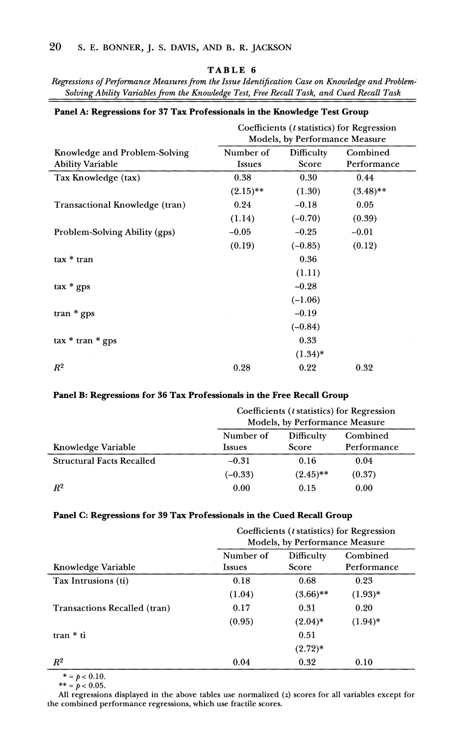#### **TABLE 6**

**Regressions of Performance Measures from the Issue Identification Case on Knowledge and Problem-Solving Ability Variables from the Knowledge Test, Free Recall Task, and Cued Recall Task** 

## **Coefficients (t statistics) for Regression Models, by Performance Measure**  Knowledge and Problem-Solving Mumber of Difficulty Combined **Ability Variable Issues Score Performance Tax Knowledge (tax) 0.38 0.30 0.44**   $(2.15)$ <sup>\*\*</sup>  $(1.30)$   $(3.48)$ <sup>\*\*</sup> **Transactional Knowledge (tran) 0.24 -0.18 0.05**   $(1.14)$   $(-0.70)$   $(0.39)$ **Problem-Solving Ability (gps)**  $-0.05$   $-0.25$   $-0.01$  $(0.19)$   $(-0.85)$   $(0.12)$ **tax \* tran 0.36**   $(1.11)$  $\tan x * gps$   $-0.28$ **(-1.06)**   $\text{tran} * \text{gps}$   $-0.19$ **(-0.84) tax \* tran \* gps 0.33 (1.34)\* R2 0.28 0.22 0.32**

#### **Panel A: Regressions for 37 Tax Professionals in the Knowledge Test Group**

#### **Panel B: Regressions for 36 Tax Professionals in the Free Recall Group**

|                                  | Coefficients ( <i>t</i> statistics) for Regression<br>Models, by Performance Measure |             |             |  |
|----------------------------------|--------------------------------------------------------------------------------------|-------------|-------------|--|
|                                  | Number of                                                                            | Difficulty  | Combined    |  |
| Knowledge Variable               | Issues                                                                               | Score       | Performance |  |
| <b>Structural Facts Recalled</b> | $-0.31$                                                                              | 0.16        | 0.04        |  |
|                                  | $(-0.33)$                                                                            | $(2.45)$ ** | (0.37)      |  |
| $R^2$                            | 0.00                                                                                 | 0.15        | 0.00        |  |

#### **Panel C: Regressions for 39 Tax Professionals in the Cued Recall Group**

|                              | Coefficients ( <i>t</i> statistics) for Regression<br>Models, by Performance Measure |                            |                         |  |  |
|------------------------------|--------------------------------------------------------------------------------------|----------------------------|-------------------------|--|--|
| Knowledge Variable           | Number of<br>Issues                                                                  | Difficulty<br><b>Score</b> | Combined<br>Performance |  |  |
| Tax Intrusions (ti)          | 0.18                                                                                 | 0.68                       | 0.23                    |  |  |
|                              | (1.04)                                                                               | $(3.66)$ **                | $(1.93)*$               |  |  |
| Transactions Recalled (tran) | 0.17                                                                                 | 0.31                       | 0.20                    |  |  |
|                              | (0.95)                                                                               | $(2.04)*$                  | $(1.94)*$               |  |  |
| $tran * ti$                  |                                                                                      | 0.51                       |                         |  |  |
|                              |                                                                                      | $(2.72)*$                  |                         |  |  |
| $R^2$                        | 0.04                                                                                 | 0.32                       | 0.10                    |  |  |

 $* = p < 0.10$ .

 $** = p < 0.05$ .

**All regressions displayed in the above tables use normalized (z) scores for all variables except for the combined performance regressions, which use fractile scores.**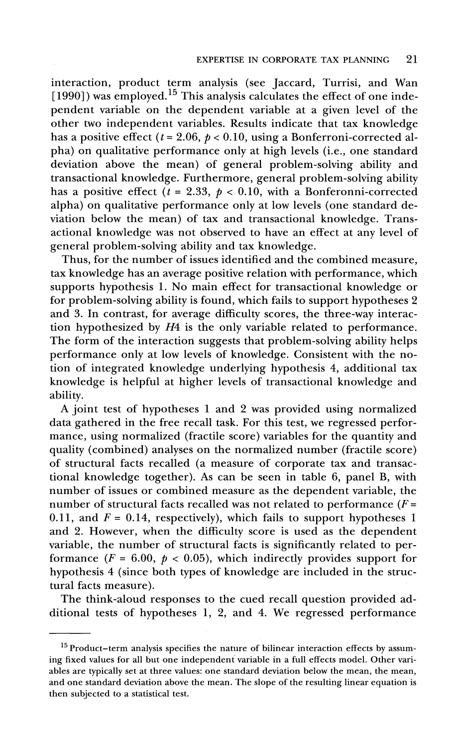**interaction, product term analysis (see Jaccard, Turrisi, and Wan [1990]) was employed.'5 This analysis calculates the effect of one independent variable on the dependent variable at a given level of the other two independent variables. Results indicate that tax knowledge**  has a positive effect  $(t = 2.06, p < 0.10$ , using a Bonferroni-corrected al**pha) on qualitative performance only at high levels (i.e., one standard deviation above the mean) of general problem-solving ability and transactional knowledge. Furthermore, general problem-solving ability**  has a positive effect  $(t = 2.33, p < 0.10,$  with a Bonferonni-corrected **alpha) on qualitative performance only at low levels (one standard deviation below the mean) of tax and transactional knowledge. Transactional knowledge was not observed to have an effect at any level of general problem-solving ability and tax knowledge.** 

**Thus, for the number of issues identified and the combined measure, tax knowledge has an average positive relation with performance, which supports hypothesis 1. No main effect for transactional knowledge or for problem-solving ability is found, which fails to support hypotheses 2 and 3. In contrast, for average difficulty scores, the three-way interaction hypothesized by H4 is the only variable related to performance. The form of the interaction suggests that problem-solving ability helps performance only at low levels of knowledge. Consistent with the notion of integrated knowledge underlying hypothesis 4, additional tax knowledge is helpful at higher levels of transactional knowledge and ability.** 

**A joint test of hypotheses 1 and 2 was provided using normalized data gathered in the free recall task. For this test, we regressed performance, using normalized (fractile score) variables for the quantity and quality (combined) analyses on the normalized number (fractile score) of structural facts recalled (a measure of corporate tax and transactional knowledge together). As can be seen in table 6, panel B, with number of issues or combined measure as the dependent variable, the number of structural facts recalled was not related to performance (F =**  0.11, and  $F = 0.14$ , respectively), which fails to support hypotheses 1 **and 2. However, when the difficulty score is used as the dependent variable, the number of structural facts is significantly related to per**formance  $(F = 6.00, p < 0.05)$ , which indirectly provides support for **hypothesis 4 (since both types of knowledge are included in the structural facts measure).** 

**The think-aloud responses to the cued recall question provided additional tests of hypotheses 1, 2, and 4. We regressed performance** 

**<sup>15</sup> Product-term analysis specifies the nature of bilinear interaction effects by assuming fixed values for all but one independent variable in a full effects model. Other variables are typically set at three values: one standard deviation below the mean, the mean, and one standard deviation above the mean. The slope of the resulting linear equation is then subjected to a statistical test.**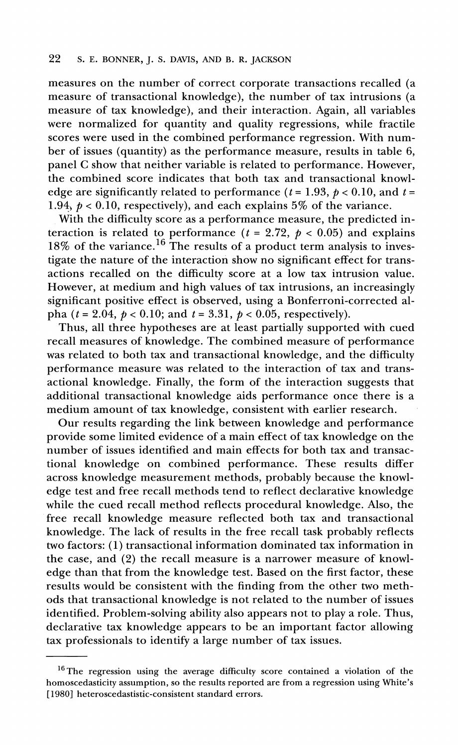**measures on the number of correct corporate transactions recalled (a measure of transactional knowledge), the number of tax intrusions (a measure of tax knowledge), and their interaction. Again, all variables were normalized for quantity and quality regressions, while fractile scores were used in the combined performance regression. With number of issues (quantity) as the performance measure, results in table 6, panel C show that neither variable is related to performance. However, the combined score indicates that both tax and transactional knowledge are significantly related to performance**  $(t = 1.93, p < 0.10,$  **and**  $t =$ 1.94,  $p < 0.10$ , respectively), and each explains 5% of the variance.

**With the difficulty score as a performance measure, the predicted interaction is related to performance (** $t = 2.72$ **,**  $p < 0.05$ **) and explains 18% of the variance.16 The results of a product term analysis to investigate the nature of the interaction show no significant effect for transactions recalled on the difficulty score at a low tax intrusion value. However, at medium and high values of tax intrusions, an increasingly significant positive effect is observed, using a Bonferroni-corrected alpha** ( $t = 2.04$ ,  $p < 0.10$ ; and  $t = 3.31$ ,  $p < 0.05$ , respectively).

**Thus, all three hypotheses are at least partially supported with cued recall measures of knowledge. The combined measure of performance was related to both tax and transactional knowledge, and the difficulty performance measure was related to the interaction of tax and transactional knowledge. Finally, the form of the interaction suggests that additional transactional knowledge aids performance once there is a medium amount of tax knowledge, consistent with earlier research.** 

**Our results regarding the link between knowledge and performance provide some limited evidence of a main effect of tax knowledge on the number of issues identified and main effects for both tax and transactional knowledge on combined performance. These results differ across knowledge measurement methods, probably because the knowledge test and free recall methods tend to reflect declarative knowledge while the cued recall method reflects procedural knowledge. Also, the free recall knowledge measure reflected both tax and transactional knowledge. The lack of results in the free recall task probably reflects two factors: (1) transactional information dominated tax information in the case, and (2) the recall measure is a narrower measure of knowledge than that from the knowledge test. Based on the first factor, these results would be consistent with the finding from the other two methods that transactional knowledge is not related to the number of issues identified. Problem-solving ability also appears not to play a role. Thus, declarative tax knowledge appears to be an important factor allowing tax professionals to identify a large number of tax issues.** 

**<sup>16</sup>The regression using the average difficulty score contained a violation of the homoscedasticity assumption, so the results reported are from a regression using White's [1980] heteroscedastistic-consistent standard errors.**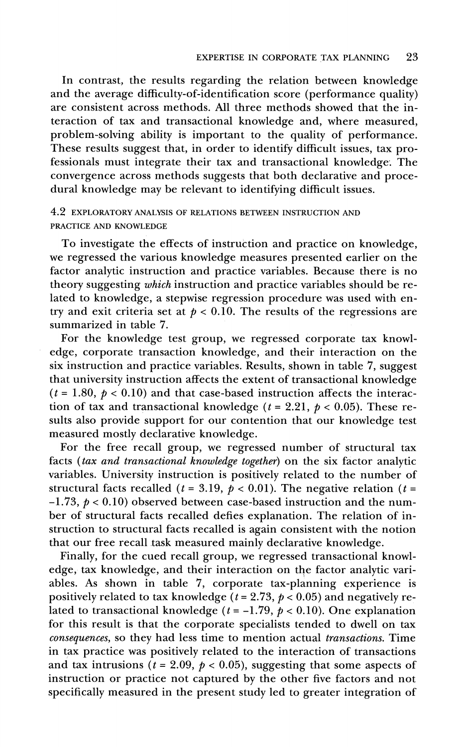**In contrast, the results regarding the relation between knowledge and the average difficulty-of-identification score (performance quality) are consistent across methods. All three methods showed that the interaction of tax and transactional knowledge and, where measured, problem-solving ability is important to the quality of performance. These results suggest that, in order to identify difficult issues, tax professionals must integrate their tax and transactional knowledge; The convergence across methods suggests that both declarative and procedural knowledge may be relevant to identifying difficult issues.** 

**4.2 EXPLORATORY ANALYSIS OF RELATIONS BETWEEN INSTRUCTION AND PRACTICE AND KNOWLEDGE** 

**To investigate the effects of instruction and practice on knowledge, we regressed the various knowledge measures presented earlier on the factor analytic instruction and practice variables. Because there is no theory suggesting which instruction and practice variables should be related to knowledge, a stepwise regression procedure was used with en**try and exit criteria set at  $p < 0.10$ . The results of the regressions are **summarized in table 7.** 

**For the knowledge test group, we regressed corporate tax knowledge, corporate transaction knowledge, and their interaction on the six instruction and practice variables. Results, shown in table 7, suggest that university instruction affects the extent of transactional knowledge**   $(t = 1.80, p < 0.10)$  and that case-based instruction affects the interaction of tax and transactional knowledge ( $t = 2.21$ ,  $p < 0.05$ ). These re**sults also provide support for our contention that our knowledge test measured mostly declarative knowledge.** 

**For the free recall group, we regressed number of structural tax facts (tax and transactional knowledge together) on the six factor analytic variables. University instruction is positively related to the number of**  structural facts recalled ( $t = 3.19$ ,  $\hat{p} < 0.01$ ). The negative relation ( $t =$ **-1.73, p < 0.10) observed between case-based instruction and the number of structural facts recalled defies explanation. The relation of instruction to structural facts recalled is again consistent with the notion that our free recall task measured mainly declarative knowledge.** 

**Finally, for the cued recall group, we regressed transactional knowledge, tax knowledge, and their interaction on the factor analytic variables. As shown in table 7, corporate tax-planning experience is**  positively related to tax knowledge  $(t = 2.73, p < 0.05)$  and negatively related to transactional knowledge  $(t = -1.79, p < 0.10)$ . One explanation **for this result is that the corporate specialists tended to dwell on tax consequences, so they had less time to mention actual transactions. Time in tax practice was positively related to the interaction of transactions**  and tax intrusions  $(t = 2.09, p < 0.05)$ , suggesting that some aspects of **instruction or practice not captured by the other five factors and not specifically measured in the present study led to greater integration of**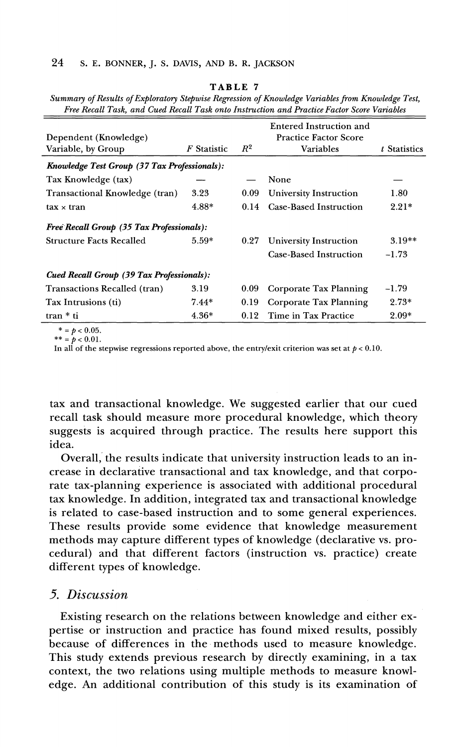#### **24 S. E. BONNER, J. S. DAVIS, AND B. R. JACKSON**

| ттее несаи тазк, ана слеа несаи тазк оню тязышиот ана гтасисе гасот эсоге vanaves |             |       |                                                                      |              |  |  |  |
|-----------------------------------------------------------------------------------|-------------|-------|----------------------------------------------------------------------|--------------|--|--|--|
| Dependent (Knowledge)<br>Variable, by Group                                       | F Statistic | $R^2$ | Entered Instruction and<br><b>Practice Factor Score</b><br>Variables | t Statistics |  |  |  |
| Knowledge Test Group (37 Tax Professionals):                                      |             |       |                                                                      |              |  |  |  |
| Tax Knowledge (tax)                                                               |             |       | None                                                                 |              |  |  |  |
| Transactional Knowledge (tran)                                                    | 3.23        | 0.09  | <b>University Instruction</b>                                        | 1.80         |  |  |  |
| $tax \times tran$                                                                 | 4.88*       | 0.14  | <b>Case-Based Instruction</b>                                        | $2.21*$      |  |  |  |
| <b>Free Recall Group (35 Tax Professionals):</b>                                  |             |       |                                                                      |              |  |  |  |
| <b>Structure Facts Recalled</b>                                                   | $5.59*$     | 0.27  | University Instruction                                               | $3.19**$     |  |  |  |
|                                                                                   |             |       | <b>Case-Based Instruction</b>                                        | $-1.73$      |  |  |  |
| Cued Recall Group (39 Tax Professionals):                                         |             |       |                                                                      |              |  |  |  |
| Transactions Recalled (tran)                                                      | 3.19        | 0.09  | Corporate Tax Planning                                               | $-1.79$      |  |  |  |
| Tax Intrusions (ti)                                                               | $7.44*$     | 0.19  | Corporate Tax Planning                                               | $2.73*$      |  |  |  |
| $tran * ti$                                                                       | $4.36*$     | 0.12  | Time in Tax Practice                                                 | $2.09*$      |  |  |  |

#### **TABLE 7**

**Summary of Results of Exploratory Stepwise Regression of Knowledge Variables from Knowledge Test, Free Recall Task, and Cued Recall Task onto Instruction and Practice Factor Score Variables** 

 $* = p < 0.05$ .  $*** = p < 0.01$ .

In all of the stepwise regressions reported above, the entry/exit criterion was set at  $p < 0.10$ .

**tax and transactional knowledge. We suggested earlier that our cued recall task should measure more procedural knowledge, which theory suggests is acquired through practice. The results here support this idea.** 

**Overall, the results indicate that university instruction leads to an increase in declarative transactional and tax knowledge, and that corporate tax-planning experience is associated with additional procedural tax knowledge. In addition, integrated tax and transactional knowledge is related to case-based instruction and to some general experiences. These results provide some evidence that knowledge measurement methods may capture different types of knowledge (declarative vs. procedural) and that different factors (instruction vs. practice) create different types of knowledge.** 

## **5. Discussion**

**Existing research on the relations between knowledge and either expertise or instruction and practice has found mixed results, possibly because of differences in the methods used to measure knowledge. This study extends previous research by directly examining, in a tax context, the two relations using multiple methods to measure knowledge. An additional contribution of this study is its examination of**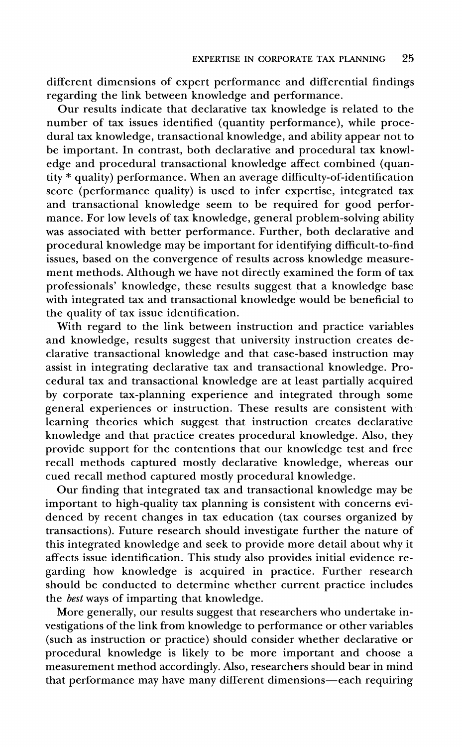**different dimensions of expert performance and differential findings regarding the link between knowledge and performance.** 

**Our results indicate that declarative tax knowledge is related to the number of tax issues identified (quantity performance), while procedural tax knowledge, transactional knowledge, and ability appear not to**  be important. In contrast, both declarative and procedural tax knowl**edge and procedural transactional knowledge affect combined (quantity \* quality) performance. When an average difficulty-of-identification score (performance quality) is used to infer expertise, integrated tax and transactional knowledge seem to be required for good performance. For low levels of tax knowledge, general problem-solving ability was associated with better performance. Further, both declarative and procedural knowledge may be important for identifying difficult-to-find issues, based on the convergence of results across knowledge measurement methods. Although we have not directly examined the form of tax professionals' knowledge, these results suggest that a knowledge base with integrated tax and transactional knowledge would be beneficial to the quality of tax issue identification.** 

**With regard to the link between instruction and practice variables and knowledge, results suggest that university instruction creates declarative transactional knowledge and that case-based instruction may assist in integrating declarative tax and transactional knowledge. Procedural tax and transactional knowledge are at least partially acquired by corporate tax-planning experience and integrated through some general experiences or instruction. These results are consistent with learning theories which suggest that instruction creates declarative knowledge and that practice creates procedural knowledge. Also, they provide support for the contentions that our knowledge test and free recall methods captured mostly declarative knowledge, whereas our cued recall method captured mostly procedural knowledge.** 

**Our finding that integrated tax and transactional knowledge may be important to high-quality tax planning is consistent with concerns evidenced by recent changes in tax education (tax courses organized by transactions). Future research should investigate further the nature of this integrated knowledge and seek to provide more detail about why it affects issue identification. This study also provides initial evidence regarding how knowledge is acquired in practice. Further research should be conducted to determine whether current practice includes the best ways of imparting that knowledge.** 

**More generally, our results suggest that researchers who undertake investigations of the link from knowledge to performance or other variables (such as instruction or practice) should consider whether declarative or procedural knowledge is likely to be more important and choose a measurement method accordingly. Also, researchers should bear in mind that performance may have many different dimensions-each requiring**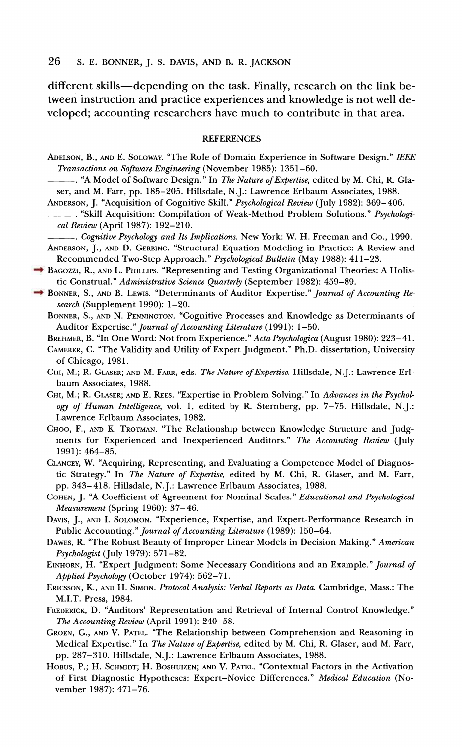different skills—depending on the task. Finally, research on the link be**tween instruction and practice experiences and knowledge is not well developed; accounting researchers have much to contribute in that area.** 

#### **REFERENCES**

- **ADELSON, B., AND E. SOLOWAY. "The Role of Domain Experience in Software Design." IEEE Transactions on Software Engineering (November 1985): 1351-60.**
- ... "A Model of Software Design." In *The Nature of Expertise*, edited by M. Chi, R. Gla**ser, and M. Farr, pp. 185-205. Hillsdale, N.J.: Lawrence Erlbaum Associates, 1988.**

**ANDERSON, J. "Acquisition of Cognitive Skill." Psychological Review (July 1982): 369- 406.** 

- **. "Skill Acquisition: Compilation of Weak-Method Problem Solutions." Psychological Review (April 1987): 192-210.**
- **. Cognitive Psychology and Its Implications. New York: W. H. Freeman and Co., 1990.**
- **ANDERSON, J., AND D. GERBING. "Structural Equation Modeling in Practice: A Review and Recommended Two-Step Approach." Psychological Bulletin (May 1988): 411-23.**
- **BAGOZZI, R., AND L. PHILLIPS. "Representing and Testing Organizational Theories: A Holistic Construal." Administrative Science Quarterly (September 1982): 459-89.**
- **BONNER, S., AND B. LEWIS. "Determinants of Auditor Expertise." Journal of Accounting Research (Supplement 1990): 1-20.** 
	- **BONNER, S., AND N. PENNINGTON. "Cognitive Processes and Knowledge as Determinants of Auditor Expertise." Journal of Accounting Literature (1991): 1-50.**
	- **BREHMER, B. "In One Word: Not from Experience." Acta Psychologica (August 1980): 223- 41.**
	- **CAMERER, C. "The Validity and Utility of Expert Judgment." Ph.D. dissertation, University of Chicago, 1981.**
	- **CHI, M.; R. GLASER; AND M. FARR, eds. The Nature of Expertise. Hillsdale, N.J.: Lawrence Erlbaum Associates, 1988.**
	- **CHI, M.; R. GLASER; AND E. REES. "Expertise in Problem Solving." In Advances in the Psychology of Human Intelligence, vol. 1, edited by R. Sternberg, pp. 7-75. Hillsdale, N.J.: Lawrence Erlbaum Associates, 1982.**
	- **CHOO, F., AND K. TROTMAN. "The Relationship between Knowledge Structure and Judgments for Experienced and Inexperienced Auditors." The Accounting Review (July 1991): 464-85.**
	- **CLANCEY, W. "Acquiring, Representing, and Evaluating a Competence Model of Diagnostic Strategy." In The Nature of Expertise, edited by M. Chi, R. Glaser, and M. Farr, pp. 343- 418. Hillsdale, N.J.: Lawrence Erlbaum Associates, 1988.**
	- **COHEN, J. "A Coefficient of Agreement for Nominal Scales." Educational and Psychological Measurement (Spring 1960): 37-46.**
	- **DAVIS, J., AND I. SOLOMON. "Experience, Expertise, and Expert-Performance Research in Public Accounting." Journal of Accounting Literature (1989): 150-64.**
	- **DAWES, R. "The Robust Beauty of Improper Linear Models in Decision Making." American Psychologist (July 1979): 571-82.**
	- **EINHORN, H. "Expert Judgment: Some Necessary Conditions and an Example." Journal of Applied Psychology (October 1974): 562-71.**
	- **ERICSSON, K., AND H. SIMON. Protocol Analysis: Verbal Reports as Data. Cambridge, Mass.: The M.I.T. Press, 1984.**
	- **FREDERICK, D. "Auditors' Representation and Retrieval of Internal Control Knowledge." The Accounting Review (April 1991): 240-58.**
	- **GROEN, G., AND V. PATEL. "The Relationship between Comprehension and Reasoning in Medical Expertise." In The Nature of Expertise, edited by M. Chi, R. Glaser, and M. Farr, pp. 287-310. Hillsdale, N.J.: Lawrence Erlbaum Associates, 1988.**
	- **HOBUS, P.; H. SCHMIDT; H. BOSHUIZEN; AND V. PATEL. "Contextual Factors in the Activation of First Diagnostic Hypotheses: Expert-Novice Differences." Medical Education (November 1987): 471-76.**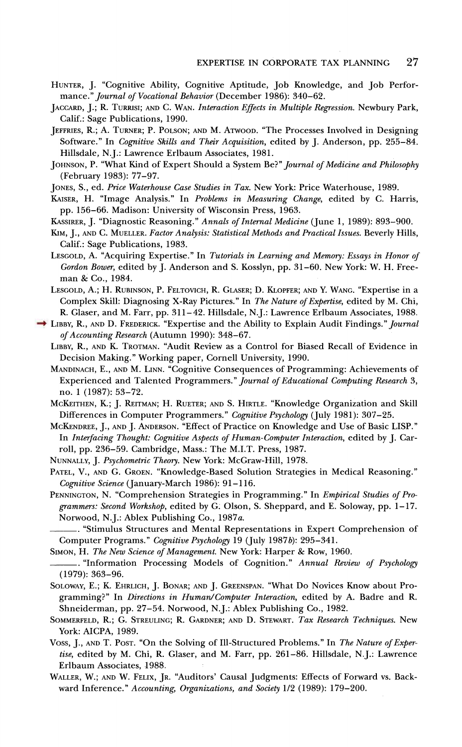- **HUNTER, J. "Cognitive Ability, Cognitive Aptitude, Job Knowledge, and Job Performance." Journal of Vocational Behavior (December 1986): 340-62.**
- JACCARD, J.; R. TURRISI; AND C. WAN. *Interaction Effects in Multiple Regression*. Newbury Park, **Calif.: Sage Publications, 1990.**
- **JEFFRIES, R.; A. TURNER; P. POLSON; AND M. ATWOOD. "The Processes Involved in Designing Software." In Cognitive Skills and Their Acquisition, edited by J. Anderson, pp. 255-84. Hillsdale, N.J.: Lawrence Erlbaum Associates, 1981.**
- **JOHNSON, P. "What Kind of Expert Should a System Be?" Journal of Medicine and Philosophy (February 1983): 77-97.**
- **JONES, S., ed. Price Waterhouse Case Studies in Tax. New York: Price Waterhouse, 1989.**
- **KAISER, H. "Image Analysis." In Problems in Measuring Change, edited by C. Harris, pp. 156-66. Madison: University of Wisconsin Press, 1963.**
- **KASSIRER, J. "Diagnostic Reasoning." Annals of Internal Medicine (June 1, 1989): 893-900.**
- **KIM, J., AND C. MUELLER. Factor Analysis: Statistical Methods and Practical Issues. Beverly Hills, Calif.: Sage Publications, 1983.**
- **LESGOLD, A. "Acquiring Expertise." In Tutorials in Learning and Memory: Essays in Honor of Gordon Bower, edited by J. Anderson and S. Kosslyn, pp. 31-60. New York: W. H. Freeman & Co., 1984.**
- **LESGOLD, A.; H. RUBINSON, P. FELTOVICH, R. GLASER; D. KLOPFER; AND Y. WANG. "Expertise in a Complex Skill: Diagnosing X-Ray Pictures." In The Nature of Expertise, edited by M. Chi, R. Glaser, and M. Farr, pp. 311-42. Hillsdale, N.J.: Lawrence Erlbaum Associates, 1988.**
- **LIBBY, R., AND D. FREDERICK. "Expertise and the Ability to Explain Audit Findings." Journal of Accounting Research (Autumn 1990): 348-67.** 
	- **LIBBY, R., AND K. TROTMAN. "Audit Review as a Control for Biased Recall of Evidence in Decision Making." Working paper, Cornell University, 1990.**
	- **MANDINACH, E., AND M. LINN. "Cognitive Consequences of Programming: Achievements of Experienced and Talented Programmers." Journal of Educational Computing Research 3, no. 1 (1987): 53-72.**
	- **McKEITHEN, K.; J. REITMAN; H. RUETER; AND S. HIRTLE. "Knowledge Organization and Skill Differences in Computer Programmers." Cognitive Psychology (July 1981): 307-25.**
	- **McKENDREE, J., AND J. ANDERSON. "Effect of Practice on Knowledge and Use of Basic LISP." In Interfacing Thought: Cognitive Aspects of Human-Computer Interaction, edited by J. Carroll, pp. 236-59. Cambridge, Mass.: The M.I.T. Press, 1987.**
	- **NUNNALLY, J. Psychometric Theory. New York: McGraw-Hill, 1978.**

**PATEL, V., AND G. GROEN. "Knowledge-Based Solution Strategies in Medical Reasoning." Cognitive Science (January-March 1986): 91-116.** 

PENNINGTON, N. "Comprehension Strategies in Programming." In *Empirical Studies of Pro***grammers: Second Workshop, edited by G. Olson, S. Sheppard, and E. Soloway, pp. 1-17. Norwood, N.J.: Ablex Publishing Co., 1987a.** 

**."Stimulus Structures and Mental Representations in Expert Comprehension of Computer Programs." Cognitive Psychology 19 (July 1987b): 295-341.** 

- **SIMON, H. The New Science of Management. New York: Harper & Row, 1960.**
- **."Information Processing Models of Cognition." Annual Review of Psychology (1979): 363-96.**
- **SOLowAY, E.; K. EHRLICH, J. BONAR; AND J. GREENSPAN. "What Do Novices Know about Programming?" In Directions in Human/Computer Interaction, edited by A. Badre and R. Shneiderman, pp. 27-54. Norwood, N.J.: Ablex Publishing Co., 1982.**
- **SOMMERFELD, R.; G. STREULING; R. GARDNER; AND D. STEWART. Tax Research Techniques. New York: AICPA, 1989.**
- **VOSS, J., AND T. POST. "On the Solving of Ill-Structured Problems." In The Nature of Expertise, edited by M. Chi, R. Glaser, and M. Farr, pp. 261-86. Hillsdale, N.J.: Lawrence Erlbaum Associates, 1988.**
- **WALLER, W.; AND W. FELIX, JR. "Auditors' Causal Judgments: Effects of Forward vs. Backward Inference." Accounting, Organizations, and Society 1/2 (1989): 179-200.**